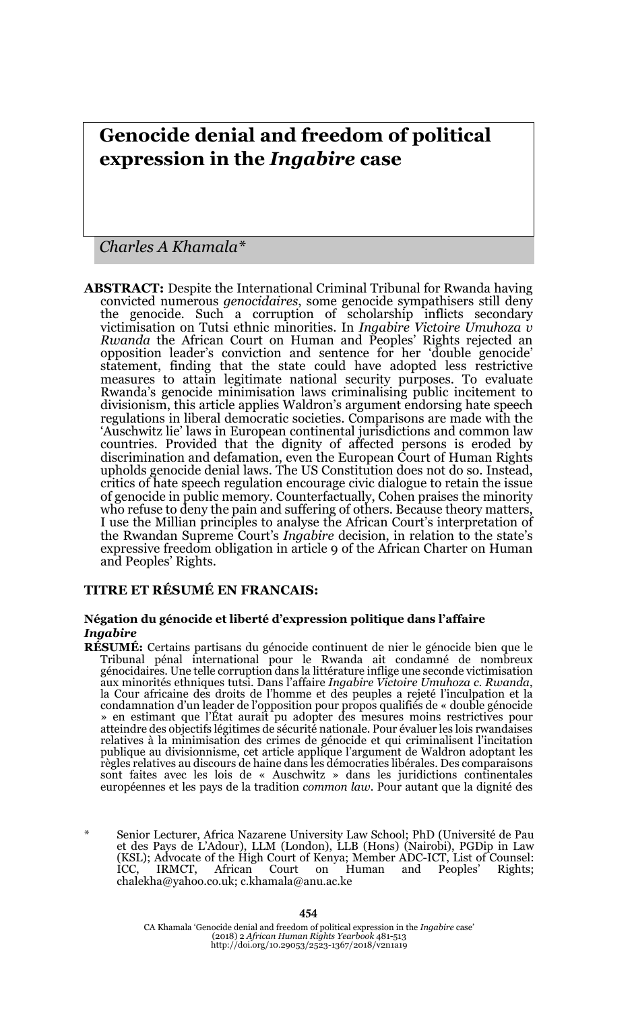# **Genocide denial and freedom of political expression in the** *Ingabire* **case**

*Charles A Khamala\**

**ABSTRACT:** Despite the International Criminal Tribunal for Rwanda having convicted numerous *genocidaires*, some genocide sympathisers still deny the genocide. Such a corruption of scholarship inflicts secondary victimisation on Tutsi ethnic minorities. In *Ingabire Victoire Umuhoza v Rwanda* the African Court on Human and Peoples' Rights rejected an opposition leader's conviction and sentence for her 'double genocide' statement, finding that the state could have adopted less restrictive measures to attain legitimate national security purposes. To evaluate Rwanda's genocide minimisation laws criminalising public incitement to divisionism, this article applies Waldron's argument endorsing hate speech regulations in liberal democratic societies. Comparisons are made with the 'Auschwitz lie' laws in European continental jurisdictions and common law countries. Provided that the dignity of affected persons is eroded by discrimination and defamation, even the European Court of Human Rights upholds genocide denial laws. The US Constitution does not do so. Instead, critics of hate speech regulation encourage civic dialogue to retain the issue of genocide in public memory. Counterfactually, Cohen praises the minority who refuse to deny the pain and suffering of others. Because theory matters, I use the Millian principles to analyse the African Court's interpretation of the Rwandan Supreme Court's *Ingabire* decision, in relation to the state's expressive freedom obligation in article 9 of the African Charter on Human and Peoples' Rights.

#### **TITRE ET RÉSUMÉ EN FRANCAIS:**

#### **Négation du génocide et liberté d'expression politique dans l'affaire**  *Ingabire*

- **RÉSUMÉ:** Certains partisans du génocide continuent de nier le génocide bien que le Tribunal pénal international pour le Rwanda ait condamné de nombreux génocidaires. Une telle corruption dans la littérature inflige une seconde victimisation aux minorités ethniques tutsi. Dans l'affaire *Ingabire Victoire Umuhoza c. Rwanda*, la Cour africaine des droits de l'homme et des peuples a rejeté l'inculpation et la condamnation d'un leader de l'opposition pour propos qualifiés de « double génocide » en estimant que l'État aurait pu adopter des mesures moins restrictives pour atteindre des objectifs légitimes de sécurité nationale. Pour évaluer les lois rwandaises relatives à la minimisation des crimes de génocide et qui criminalisent l'incitation publique au divisionnisme, cet article applique l'argument de Waldron adoptant les règles relatives au discours de haine dans les démocraties libérales. Des comparaisons sont faites avec les lois de « Auschwitz » dans les juridictions continentales européennes et les pays de la tradition *common law*. Pour autant que la dignité des
- Senior Lecturer, Africa Nazarene University Law School; PhD (Université de Pau et des Pays de L'Adour), LLM (London), LLB (Hons) (Nairobi), PGDip in Law (KSL); Advocate of the High Court of Kenya; Member ADC-ICT, List of Counsel: ICC, IRMCT, African Court on Human and Peoples' Rights; chalekha@yahoo.co.uk; c.khamala@anu.ac.ke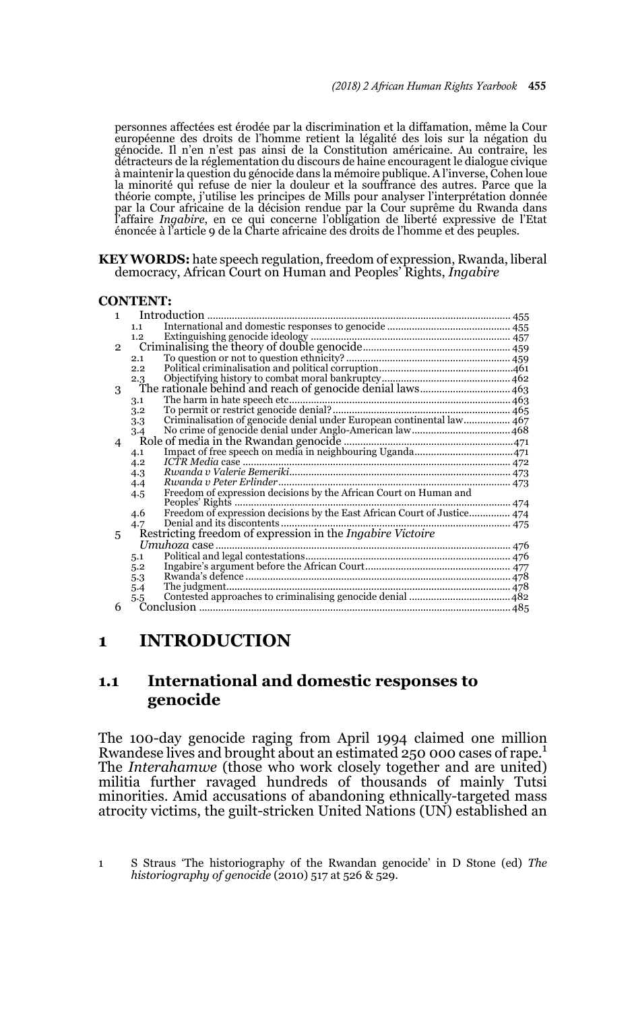personnes affectées est érodée par la discrimination et la diffamation, même la Cour européenne des droits de l'homme retient la légalité des lois sur la négation du génocide. Il n'en n'est pas ainsi de la Constitution américaine. Au contraire, les détracteurs de la réglementation du discours de haine encouragent le dialogue civique à maintenir la question du génocide dans la mémoire publique. A l'inverse, Cohen loue la minorité qui refuse de nier la douleur et la souffrance des autres. Parce que la théorie compte, j'utilise les principes de Mills pour analyser l'interprétation donnée par la Cour africaine de la décision rendue par la Cour suprême du Rwanda dans l'affaire *Ingabire*, en ce qui concerne l'obligation de liberté expressive de l'Etat énoncée à l'article 9 de la Charte africaine des droits de l'homme et des peuples.

#### **KEY WORDS:** hate speech regulation, freedom of expression, Rwanda, liberal democracy, African Court on Human and Peoples' Rights, *Ingabire*

#### **CONTENT:**

| 1.             | Introduction                                                      |                                                                          |  |
|----------------|-------------------------------------------------------------------|--------------------------------------------------------------------------|--|
|                | 1.1                                                               |                                                                          |  |
|                | 1.2                                                               |                                                                          |  |
| $\overline{2}$ |                                                                   |                                                                          |  |
|                | 2.1                                                               |                                                                          |  |
|                | 2.2                                                               |                                                                          |  |
|                | 2.3                                                               |                                                                          |  |
| 3              |                                                                   | The rationale behind and reach of genocide denial laws 463               |  |
|                | 3.1                                                               |                                                                          |  |
|                | 3.2                                                               |                                                                          |  |
|                | 3.3                                                               |                                                                          |  |
|                | 3.4                                                               |                                                                          |  |
| 4              |                                                                   |                                                                          |  |
|                | 4.1                                                               |                                                                          |  |
|                | 4.2                                                               |                                                                          |  |
|                | 4.3                                                               |                                                                          |  |
|                | 4.4                                                               |                                                                          |  |
|                | 4.5                                                               | Freedom of expression decisions by the African Court on Human and        |  |
|                |                                                                   |                                                                          |  |
|                | 4.6                                                               | Freedom of expression decisions by the East African Court of Justice 474 |  |
|                | 4.7                                                               | 475                                                                      |  |
| 5              | Restricting freedom of expression in the <i>Ingabire Victoire</i> |                                                                          |  |
|                |                                                                   |                                                                          |  |
|                | 5.1                                                               |                                                                          |  |
|                | 5.2                                                               |                                                                          |  |
|                | 5.3                                                               |                                                                          |  |
|                | 5.4                                                               |                                                                          |  |
|                | $5-5$                                                             |                                                                          |  |
| 6              |                                                                   |                                                                          |  |

## **1 INTRODUCTION**

### **1.1 International and domestic responses to genocide**

The 100-day genocide raging from April 1994 claimed one million Rwandese lives and brought about an estimated 250 000 cases of rape.<sup>1</sup> The *Interahamwe* (those who work closely together and are united) militia further ravaged hundreds of thousands of mainly Tutsi minorities. Amid accusations of abandoning ethnically-targeted mass atrocity victims, the guilt-stricken United Nations (UN) established an

<sup>1</sup> S Straus 'The historiography of the Rwandan genocide' in D Stone (ed) *The historiography of genocide* (2010) 517 at 526 & 529.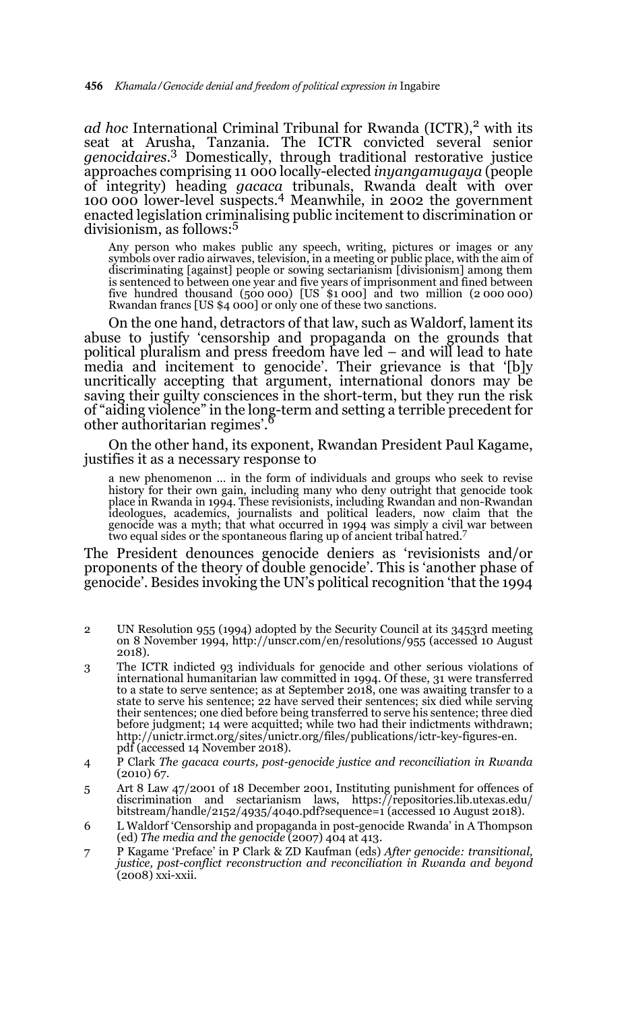*ad hoc* International Criminal Tribunal for Rwanda (ICTR),<sup>2</sup> with its seat at Arusha, Tanzania. The ICTR convicted several senior *genocidaires*. 3 Domestically, through traditional restorative justice approaches comprising 11 000 locally-elected *inyangamugaya* (people of integrity) heading *gacaca* tribunals, Rwanda dealt with over 100 000 lower-level suspects.4 Meanwhile, in 2002 the government enacted legislation criminalising public incitement to discrimination or divisionism, as follows:5

Any person who makes public any speech, writing, pictures or images or any symbols over radio airwaves, television, in a meeting or public place, with the aim of discriminating [against] people or sowing sectarianism [divisionism] among them is sentenced to between one year and five years of imprisonment and fined between five hundred thousand  $(500\ 000)$  [US  $$1\ 000]$  and two million  $(2\ 000\ 000)$ Rwandan francs [US \$4 000] or only one of these two sanctions.

On the one hand, detractors of that law, such as Waldorf, lament its abuse to justify 'censorship and propaganda on the grounds that political pluralism and press freedom have led – and will lead to hate media and incitement to genocide'. Their grievance is that '[b]y uncritically accepting that argument, international donors may be saving their guilty consciences in the short-term, but they run the risk of "aiding violence" in the long-term and setting a terrible precedent for<br>other authoritarian regimes'.

On the other hand, its exponent, Rwandan President Paul Kagame, justifies it as a necessary response to

a new phenomenon … in the form of individuals and groups who seek to revise history for their own gain, including many who deny outright that genocide took place in Rwanda in 1994. These revisionists, including Rwandan and non-Rwandan ideologues, academics, journalists and political leaders, now claim that the genocide was a myth; that what occurred in 1994 was simply a civil war between two equal sides or the spontaneous flaring up of ancient tribal hatred.<sup>7</sup>

The President denounces genocide deniers as 'revisionists and/or proponents of the theory of double genocide'. This is 'another phase of genocide'. Besides invoking the UN's political recognition 'that the 1994

- 2 UN Resolution 955 (1994) adopted by the Security Council at its 3453rd meeting on 8 November 1994, http://unscr.com/en/resolutions/955 (accessed 10 August 2018).
- 3 The ICTR indicted 93 individuals for genocide and other serious violations of international humanitarian law committed in 1994. Of these, 31 were transferred to a state to serve sentence; as at September 2018, one was awaiting transfer to a state to serve his sentence; 22 have served their sentences; six died while serving their sentences; one died before being transferred to serve his sentence; three died before judgment; 14 were acquitted; while two had their indictments withdrawn; http://unictr.irmct.org/sites/unictr.org/files/publications/ictr-key-figures-en. pdf (accessed 14 November 2018).
- 4 P Clark *The gacaca courts, post-genocide justice and reconciliation in Rwanda* (2010) 67.
- 5 Art 8 Law 47/2001 of 18 December 2001, Instituting punishment for offences of discrimination and sectarianism laws, https://repositories.lib.utexas.edu/ bitstream/handle/2152/4935/4040.pdf?sequence=1 (accessed 10 August 2018).
- 6 L Waldorf 'Censorship and propaganda in post-genocide Rwanda' in A Thompson (ed) *The media and the genocide* (2007) 404 at 413.
- 7 P Kagame 'Preface' in P Clark & ZD Kaufman (eds) *After genocide: transitional, justice, post-conflict reconstruction and reconciliation in Rwanda and beyond* (2008) xxi-xxii.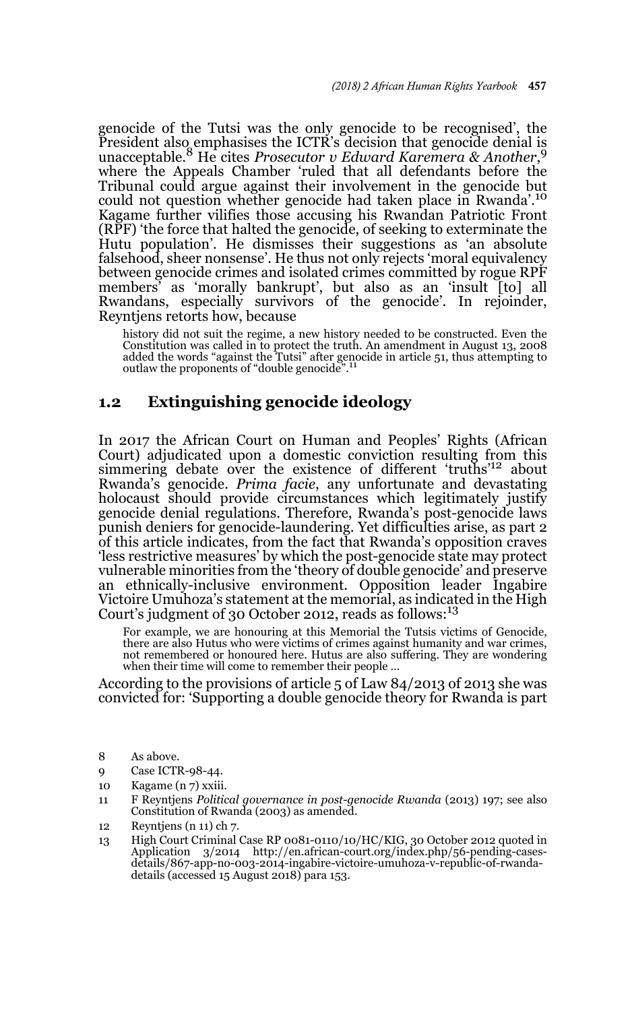genocide of the Tutsi was the only genocide to be recognised', the President also emphasises the ICTR's decision that genocide denial is unacceptable.8 He cites *Prosecutor v Edward Karemera & Another*, 9 where the Appeals Chamber 'ruled that all defendants before the Tribunal could argue against their involvement in the genocide but could not question whether genocide had taken place in Rwanda'.<sup>10</sup> Kagame further vilifies those accusing his Rwandan Patriotic Front (RPF) 'the force that halted the genocide, of seeking to exterminate the Hutu population'. He dismisses their suggestions as 'an absolute falsehood, sheer nonsense'. He thus not only rejects 'moral equivalency between genocide crimes and isolated crimes committed by rogue RPF members' as 'morally bankrupt', but also as an 'insult [to] all Rwandans, especially survivors of the genocide'. In rejoinder, Reyntjens retorts how, because

history did not suit the regime, a new history needed to be constructed. Even the Constitution was called in to protect the truth. An amendment in August 13, 2008<br>added the words "against the Tutsi" after genocide in article 51, thus attempting to<br>outlaw the proponents of "double genocide".<sup>11</sup>

### **1.2 Extinguishing genocide ideology**

In 2017 the African Court on Human and Peoples' Rights (African Court) adjudicated upon a domestic conviction resulting from this simmering debate over the existence of different 'truths'12 about Rwanda's genocide. *Prima facie*, any unfortunate and devastating holocaust should provide circumstances which legitimately justify genocide denial regulations. Therefore, Rwanda's post-genocide laws punish deniers for genocide-laundering. Yet difficulties arise, as part 2 of this article indicates, from the fact that Rwanda's opposition craves 'less restrictive measures' by which the post-genocide state may protect vulnerable minorities from the 'theory of double genocide' and preserve an ethnically-inclusive environment. Opposition leader Ingabire Victoire Umuhoza's statement at the memorial, as indicated in the High Court's judgment of 30 October 2012, reads as follows:<sup>13</sup>

For example, we are honouring at this Memorial the Tutsis victims of Genocide, there are also Hutus who were victims of crimes against humanity and war crimes, not remembered or honoured here. Hutus are also suffering. They are wondering when their time will come to remember their people …

According to the provisions of article 5 of Law 84/2013 of 2013 she was convicted for: 'Supporting a double genocide theory for Rwanda is part

- 8 As above.
- 9 Case ICTR-98-44.
- 10 Kagame (n 7) xxiii.
- 11 F Reyntjens *Political governance in post-genocide Rwanda* (2013) 197; see also Constitution of Rwanda (2003) as amended.
- 12 Reyntjens (n 11) ch 7.
- 13 High Court Criminal Case RP 0081-0110/10/HC/KIG, 30 October 2012 quoted in Application 3/2014 http://en.african-court.org/index.php/56-pending-casesdetails/867-app-no-003-2014-ingabire-victoire-umuhoza-v-republic-of-rwandadetails (accessed 15 August 2018) para 153.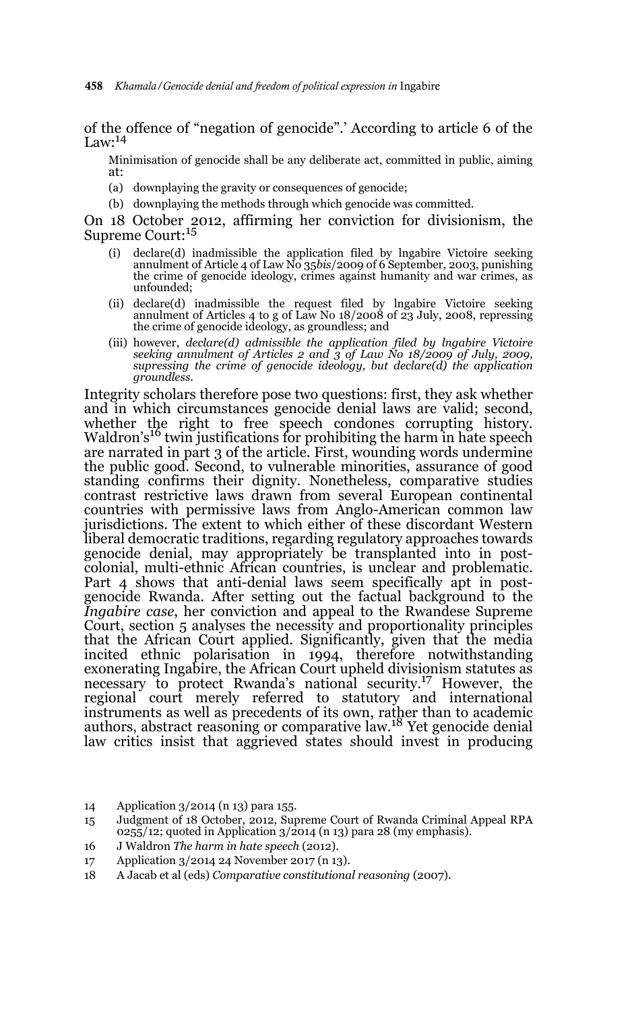of the offence of "negation of genocide".' According to article 6 of the Law: $^{14}$ 

Minimisation of genocide shall be any deliberate act, committed in public, aiming at:

- (a) downplaying the gravity or consequences of genocide;
- (b) downplaying the methods through which genocide was committed.

On 18 October 2012, affirming her conviction for divisionism, the<br>Supreme Court:<sup>15</sup>

- (i) declare(d) inadmissible the application filed by lngabire Victoire seeking annulment of Article 4 of Law No 35*bis*/2009 of 6 September, 2003, punishing the crime of genocide ideology, crimes against humanity and war crimes, as unfounded;
- (ii) declare(d) inadmissible the request filed by lngabire Victoire seeking annulment of Articles 4 to g of Law No 18/2008 of 23 July, 2008, repressing the crime of genocide ideology, as groundless; and
- (iii) however, *declare(d) admissible the application filed by lngabire Victoire seeking annulment of Articles 2 and 3 of Law No 18/2009 of July, 2009, supressing the crime of genocide ideology, but declare(d) the application groundless*.

Integrity scholars therefore pose two questions: first, they ask whether and in which circumstances genocide denial laws are valid; second, whether the right to free speech condones corrupting history. Waldron's<sup>16</sup> twin justifications for prohibiting the harm in hate speech are narrated in part 3 of the article. First, wounding words undermine the public good. Second, to vulnerable minorities, assurance of good standing confirms their dignity. Nonetheless, comparative studies contrast restrictive laws drawn from several European continental countries with permissive laws from Anglo-American common law jurisdictions. The extent to which either of these discordant Western liberal democratic traditions, regarding regulatory approaches towards genocide denial, may appropriately be transplanted into in postcolonial, multi-ethnic African countries, is unclear and problematic. Part 4 shows that anti-denial laws seem specifically apt in postgenocide Rwanda. After setting out the factual background to the *Ingabire case*, her conviction and appeal to the Rwandese Supreme Court, section 5 analyses the necessity and proportionality principles that the African Court applied. Significantly, given that the media incited ethnic polarisation in 1994, therefore notwithstanding exonerating Ingabire, the African Court upheld divisionism statutes as necessary to protect Rwanda's national security.<sup>17</sup> However, the regional court merely referred to statutory and international instruments as well as precedents of its own, rather than to academic authors, abstract reasoning or comparative law.<sup>18</sup> Yet genocide denial law critics insist that aggrieved states should invest in producing

<sup>14</sup> Application 3/2014 (n 13) para 155.

<sup>15</sup> Judgment of 18 October, 2012, Supreme Court of Rwanda Criminal Appeal RPA  $025\frac{1}{2}$ ; quoted in Application 3/2014 (n 13) para 28 (my emphasis).

<sup>16</sup> J Waldron *The harm in hate speech* (2012).

<sup>17</sup> Application 3/2014 24 November 2017 (n 13).

<sup>18</sup> A Jacab et al (eds) *Comparative constitutional reasoning* (2007).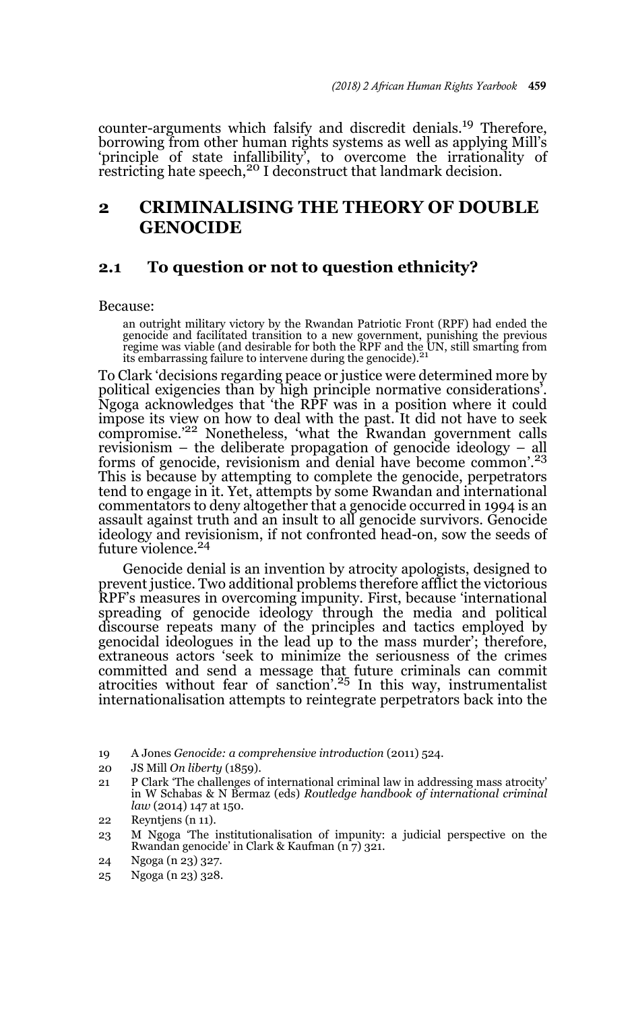counter-arguments which falsify and discredit denials.19 Therefore, borrowing from other human rights systems as well as applying Mill's 'principle of state infallibility<sup>7</sup>, to overcome the irrationality of restricting hate speech,<sup>20</sup> I deconstruct that landmark decision.

## **2 CRIMINALISING THE THEORY OF DOUBLE GENOCIDE**

### **2.1 To question or not to question ethnicity?**

Because:

an outright military victory by the Rwandan Patriotic Front (RPF) had ended the genocide and facilitated transition to a new government, punishing the previous regime was viable (and desirable for both the RPF and the UN, still smarting from its embarrassing failure to intervene during the genocide).<sup>21</sup>

To Clark 'decisions regarding peace or justice were determined more by political exigencies than by high principle normative considerations'. Ngoga acknowledges that 'the RPF was in a position where it could impose its view on how to deal with the past. It did not have to seek compromise.'22 Nonetheless, 'what the Rwandan government calls revisionism – the deliberate propagation of genocide ideology – all forms of genocide, revisionism and denial have become common'.<sup>23</sup> This is because by attempting to complete the genocide, perpetrators tend to engage in it. Yet, attempts by some Rwandan and international commentators to deny altogether that a genocide occurred in 1994 is an assault against truth and an insult to all genocide survivors. Genocide ideology and revisionism, if not confronted head-on, sow the seeds of future violence.<sup>24</sup>

Genocide denial is an invention by atrocity apologists, designed to prevent justice. Two additional problems therefore afflict the victorious RPF's measures in overcoming impunity. First, because 'international spreading of genocide ideology through the media and political discourse repeats many of the principles and tactics employed by genocidal ideologues in the lead up to the mass murder'; therefore, extraneous actors 'seek to minimize the seriousness of the crimes committed and send a message that future criminals can commit atrocities without fear of sanction'.<sup>25</sup> In this way, instrumentalist internationalisation attempts to reintegrate perpetrators back into the

- 20 JS Mill *On liberty* (1859).
- 21 P Clark 'The challenges of international criminal law in addressing mass atrocity' in W Schabas & N Bermaz (eds) *Routledge handbook of international criminal law* (2014) 147 at 150.

23 M Ngoga 'The institutionalisation of impunity: a judicial perspective on the Rwandan genocide' in Clark & Kaufman  $(n7)$  321.

25 Ngoga (n 23) 328.

<sup>19</sup> A Jones *Genocide: a comprehensive introduction* (2011) 524.

<sup>22</sup> Reyntjens (n 11).

<sup>24</sup> Ngoga (n 23) 327.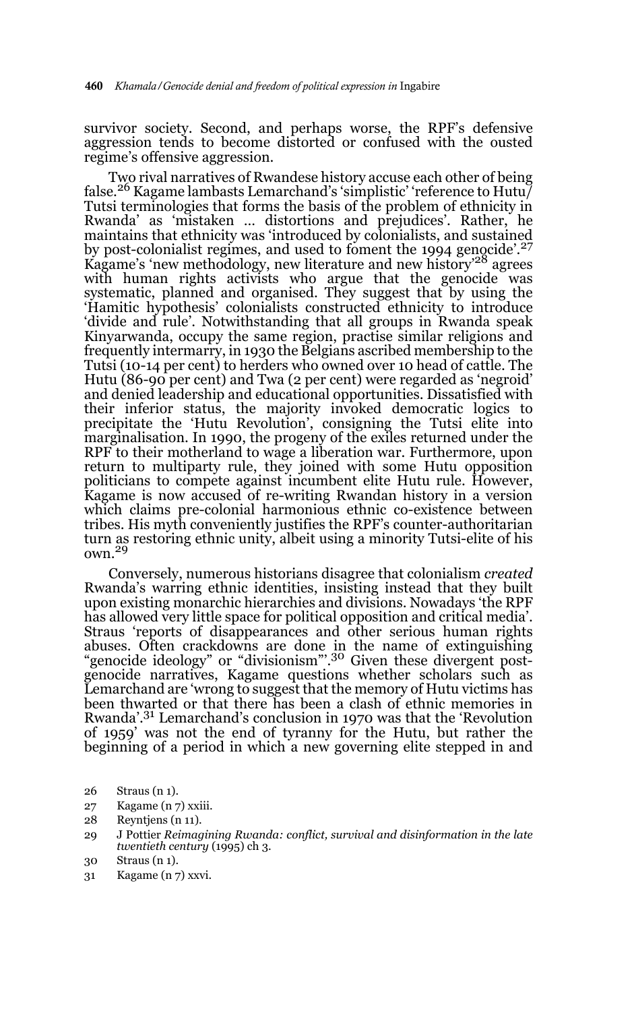survivor society. Second, and perhaps worse, the RPF's defensive aggression tends to become distorted or confused with the ousted regime's offensive aggression.

Two rival narratives of Rwandese history accuse each other of being false.<sup>26</sup> Kagame lambasts Lemarchand's 'simplistic' 'reference to Hutu/ Tutsi terminologies that forms the basis of the problem of ethnicity in Rwanda' as 'mistaken … distortions and prejudices'. Rather, he maintains that ethnicity was 'introduced by colonialists, and sustained by post-colonialist regimes, and used to foment the 1994 genocide'.<sup>27</sup> Kagame's 'new methodology, new literature and new history'<sup>28</sup> agrees with human rights activists who argue that the genocide was systematic, planned and organised. They suggest that by using the 'Hamitic hypothesis' colonialists constructed ethnicity to introduce 'divide and rule'. Notwithstanding that all groups in Rwanda speak Kinyarwanda, occupy the same region, practise similar religions and frequently intermarry, in 1930 the Belgians ascribed membership to the Tutsi (10-14 per cent) to herders who owned over 10 head of cattle. The Hutu (86-90 per cent) and Twa (2 per cent) were regarded as 'negroid' and denied leadership and educational opportunities. Dissatisfied with their inferior status, the majority invoked democratic logics to precipitate the 'Hutu Revolution', consigning the Tutsi elite into marginalisation. In 1990, the progeny of the exiles returned under the RPF to their motherland to wage a liberation war. Furthermore, upon return to multiparty rule, they joined with some Hutu opposition politicians to compete against incumbent elite Hutu rule. However, Kagame is now accused of re-writing Rwandan history in a version which claims pre-colonial harmonious ethnic co-existence between tribes. His myth conveniently justifies the RPF's counter-authoritarian turn as restoring ethnic unity, albeit using a minority Tutsi-elite of his own. $^{29}$ 

Conversely, numerous historians disagree that colonialism *created* Rwanda's warring ethnic identities, insisting instead that they built upon existing monarchic hierarchies and divisions. Nowadays 'the RPF has allowed very little space for political opposition and critical media'. Straus 'reports of disappearances and other serious human rights abuses. Often crackdowns are done in the name of extinguishing "genocide ideology" or "divisionism".<sup>30</sup> Given these divergent postgenocide narratives, Kagame questions whether scholars such as Lemarchand are 'wrong to suggest that the memory of Hutu victims has been thwarted or that there has been a clash of ethnic memories in Rwanda'.31 Lemarchand's conclusion in 1970 was that the 'Revolution of 1959' was not the end of tyranny for the Hutu, but rather the beginning of a period in which a new governing elite stepped in and

- 27 Kagame (n 7) xxiii.
- 28 Reyntjens (n 11).
- 29 J Pottier *Reimagining Rwanda: conflict, survival and disinformation in the late twentieth century* (1995) ch 3.
- 30 Straus (n 1).
- 31 Kagame (n 7) xxvi.

<sup>26</sup> Straus (n 1).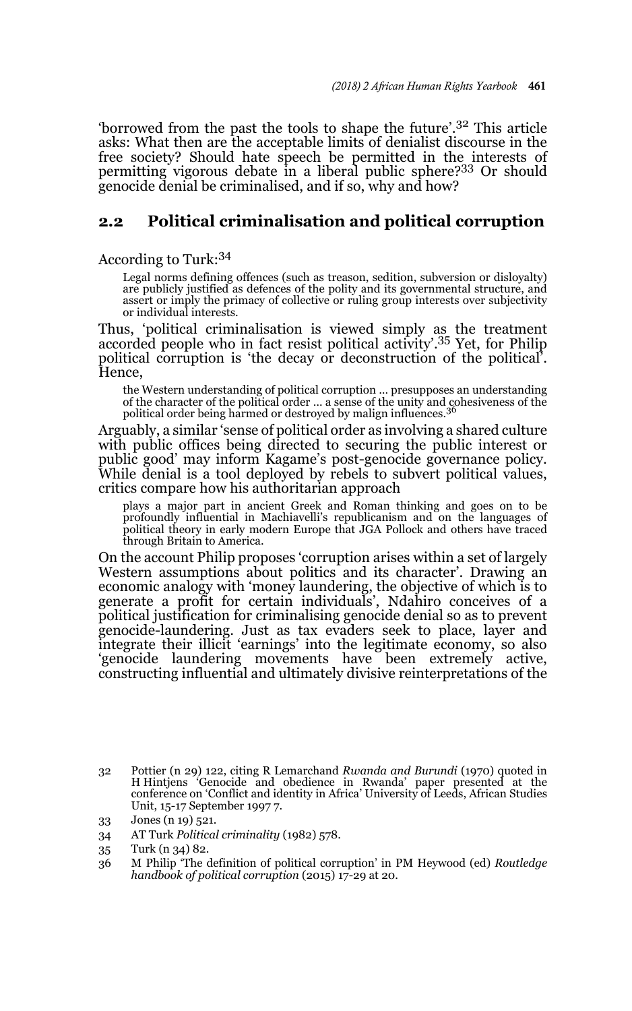'borrowed from the past the tools to shape the future'.32 This article asks: What then are the acceptable limits of denialist discourse in the free society? Should hate speech be permitted in the interests of permitting vigorous debate in a liberal public sphere?33 Or should genocide denial be criminalised, and if so, why and how?

### **2.2 Political criminalisation and political corruption**

According to Turk:<sup>34</sup>

Legal norms defining offences (such as treason, sedition, subversion or disloyalty) are publicly justified as defences of the polity and its governmental structure, and assert or imply the primacy of collective or ruling group interests over subjectivity or individual interests.

Thus, 'political criminalisation is viewed simply as the treatment accorded people who in fact resist political activity'.35 Yet, for Philip political corruption is 'the decay or deconstruction of the political'. Hence,

the Western understanding of political corruption … presupposes an understanding of the character of the political order … a sense of the unity and cohesiveness of the political order being harmed or destroyed by malign influences.<sup>36</sup>

Arguably, a similar 'sense of political order as involving a shared culture with public offices being directed to securing the public interest or public good' may inform Kagame's post-genocide governance policy. While denial is a tool deployed by rebels to subvert political values, critics compare how his authoritarian approach

plays a major part in ancient Greek and Roman thinking and goes on to be profoundly influential in Machiavelli's republicanism and on the languages of political theory in early modern Europe that JGA Pollock and others have traced through Britain to America.

On the account Philip proposes 'corruption arises within a set of largely Western assumptions about politics and its character'. Drawing an economic analogy with 'money laundering, the objective of which is to generate a profit for certain individuals', Ndahiro conceives of a political justification for criminalising genocide denial so as to prevent genocide-laundering. Just as tax evaders seek to place, layer and integrate their illicit 'earnings' into the legitimate economy, so also 'genocide laundering movements have been extremely active, constructing influential and ultimately divisive reinterpretations of the

<sup>32</sup> Pottier (n 29) 122, citing R Lemarchand *Rwanda and Burundi* (1970) quoted in H Hintjens 'Genocide and obedience in Rwanda' paper presented at the conference on 'Conflict and identity in Africa' University of Leeds, African Studies Unit, 15-17 September 1997 7.

<sup>33</sup> Jones (n 19) 521.

<sup>34</sup> AT Turk *Political criminality* (1982) 578.

<sup>35</sup> Turk (n 34) 82.

<sup>36</sup> M Philip 'The definition of political corruption' in PM Heywood (ed) *Routledge handbook of political corruption* (2015) 17-29 at 20.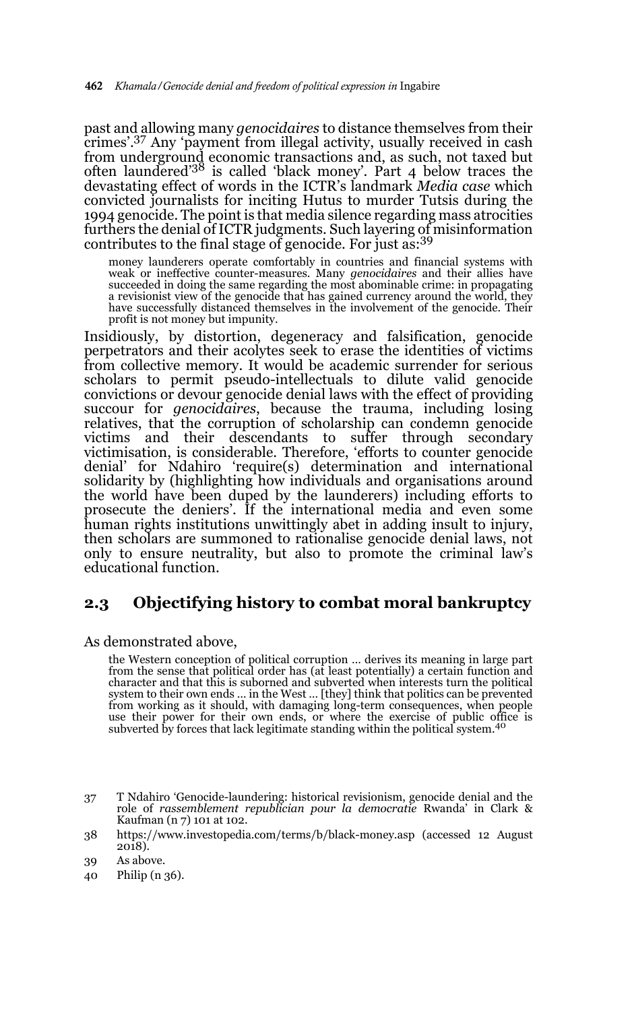past and allowing many *genocidaires* to distance themselves from their crimes'.37 Any 'payment from illegal activity, usually received in cash from underground economic transactions and, as such, not taxed but often laundered'38 is called 'black money'. Part 4 below traces the devastating effect of words in the ICTR's landmark *Media case* which convicted journalists for inciting Hutus to murder Tutsis during the 1994 genocide. The point is that media silence regarding mass atrocities furthers the denial of ICTR judgments. Such layering of misinformation contributes to the final stage of genocide. For just as:<sup>39</sup>

money launderers operate comfortably in countries and financial systems with weak or ineffective counter-measures. Many *genocidaires* and their allies have succeeded in doing the same regarding the most abominable crime: in propagating a revisionist view of the genocide that has gained currency around the world, they have successfully distanced themselves in the involvement of the genocide. Their profit is not money but impunity.

Insidiously, by distortion, degeneracy and falsification, genocide perpetrators and their acolytes seek to erase the identities of victims from collective memory. It would be academic surrender for serious scholars to permit pseudo-intellectuals to dilute valid genocide convictions or devour genocide denial laws with the effect of providing succour for *genocidaires*, because the trauma, including losing relatives, that the corruption of scholarship can condemn genocide victims and their descendants to suffer through secondary victimisation, is considerable. Therefore, 'efforts to counter genocide denial' for Ndahiro 'require(s) determination and international solidarity by (highlighting how individuals and organisations around the world have been duped by the launderers) including efforts to prosecute the deniers'. If the international media and even some human rights institutions unwittingly abet in adding insult to injury, then scholars are summoned to rationalise genocide denial laws, not only to ensure neutrality, but also to promote the criminal law's educational function.

### **2.3 Objectifying history to combat moral bankruptcy**

As demonstrated above,

the Western conception of political corruption … derives its meaning in large part from the sense that political order has (at least potentially) a certain function and character and that this is suborned and subverted when interests turn the political system to their own ends … in the West … [they] think that politics can be prevented from working as it should, with damaging long-term consequences, when people use their power for their own ends, or where the exercise of public office is subverted by forces that lack legitimate standing within the political system.<sup>4</sup>

38 https://www.investopedia.com/terms/b/black-money.asp (accessed 12 August 2018).

40 Philip (n 36).

<sup>37</sup> T Ndahiro 'Genocide-laundering: historical revisionism, genocide denial and the role of *rassemblement republician pour la democratie* Rwanda' in Clark & Kaufman (n 7) 101 at 102.

<sup>39</sup> As above.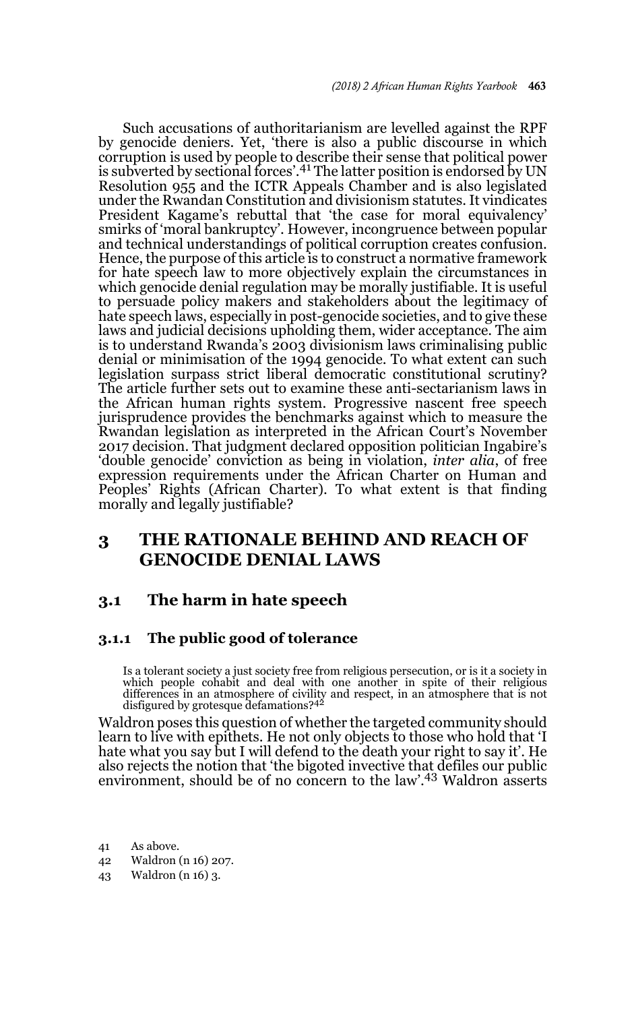Such accusations of authoritarianism are levelled against the RPF by genocide deniers. Yet, 'there is also a public discourse in which corruption is used by people to describe their sense that political power is subverted by sectional forces'.<sup>41</sup> The latter position is endorsed by UN Resolution 955 and the ICTR Appeals Chamber and is also legislated under the Rwandan Constitution and divisionism statutes. It vindicates President Kagame's rebuttal that 'the case for moral equivalency' smirks of 'moral bankruptcy'. However, incongruence between popular and technical understandings of political corruption creates confusion. Hence, the purpose of this article is to construct a normative framework for hate speech law to more objectively explain the circumstances in which genocide denial regulation may be morally justifiable. It is useful to persuade policy makers and stakeholders about the legitimacy of hate speech laws, especially in post-genocide societies, and to give these laws and judicial decisions upholding them, wider acceptance. The aim is to understand Rwanda's 2003 divisionism laws criminalising public denial or minimisation of the 1994 genocide. To what extent can such legislation surpass strict liberal democratic constitutional scrutiny? The article further sets out to examine these anti-sectarianism laws in the African human rights system. Progressive nascent free speech jurisprudence provides the benchmarks against which to measure the Rwandan legislation as interpreted in the African Court's November 2017 decision. That judgment declared opposition politician Ingabire's 'double genocide' conviction as being in violation, *inter alia*, of free expression requirements under the African Charter on Human and Peoples' Rights (African Charter). To what extent is that finding morally and legally justifiable?

## **3 THE RATIONALE BEHIND AND REACH OF GENOCIDE DENIAL LAWS**

## **3.1 The harm in hate speech**

### **3.1.1 The public good of tolerance**

Is a tolerant society a just society free from religious persecution, or is it a society in which people cohabit and deal with one another in spite of their religious differences in an atmosphere of civility and respect, in an atmosphere that is not disfigured by grotesque defamations?<sup>42</sup>

Waldron poses this question of whether the targeted community should learn to live with epithets. He not only objects to those who hold that 'I hate what you say but I will defend to the death your right to say it'. He also rejects the notion that 'the bigoted invective that defiles our public environment, should be of no concern to the law'.43 Waldron asserts

- 41 As above.
- 42 Waldron (n 16) 207.
- 43 Waldron (n 16) 3.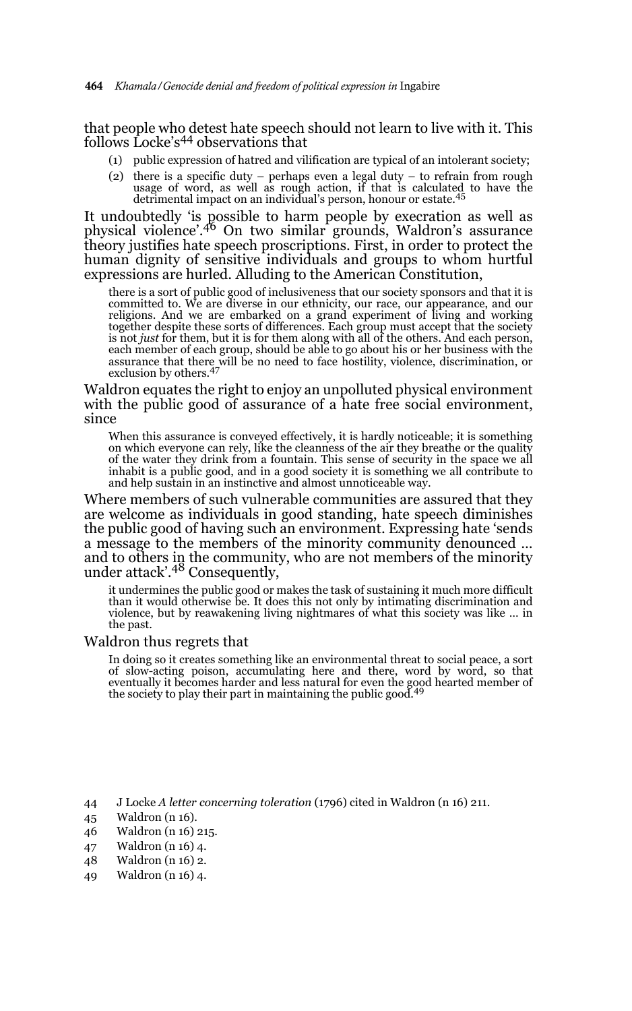that people who detest hate speech should not learn to live with it. This follows Locke's<sup>44</sup> observations that

- (1) public expression of hatred and vilification are typical of an intolerant society;
- (2) there is a specific duty perhaps even a legal duty to refrain from rough usage of word, as well as rough action, if that is calculated to have the detrimental impact on an individual's person, honour or estate.<sup>45</sup>

It undoubtedly 'is possible to harm people by execration as well as physical violence'.46 On two similar grounds, Waldron's assurance theory justifies hate speech proscriptions. First, in order to protect the human dignity of sensitive individuals and groups to whom hurtful expressions are hurled. Alluding to the American Constitution,

there is a sort of public good of inclusiveness that our society sponsors and that it is committed to. We are diverse in our ethnicity, our race, our appearance, and our religions. And we are embarked on a grand experiment of living and working together despite these sorts of differences. Each group must accept that the society is not *just* for them, but it is for them along with all of the others. And each person, each member of each group, should be able to go about his or her business with the assurance that there will be no need to face hostility, violence, discrimination, or exclusion by others.<sup>47</sup>

Waldron equates the right to enjoy an unpolluted physical environment with the public good of assurance of a hate free social environment, since

When this assurance is conveyed effectively, it is hardly noticeable; it is something on which everyone can rely, like the cleanness of the air they breathe or the quality of the water they drink from a fountain. This sense of security in the space we all inhabit is a public good, and in a good society it is something we all contribute to and help sustain in an instinctive and almost unnoticeable way.

Where members of such vulnerable communities are assured that they are welcome as individuals in good standing, hate speech diminishes the public good of having such an environment. Expressing hate 'sends a message to the members of the minority community denounced … and to others in the community, who are not members of the minority<br>under attack'.<sup>48</sup> Consequently,

it undermines the public good or makes the task of sustaining it much more difficult than it would otherwise be. It does this not only by intimating discrimination and violence, but by reawakening living nightmares of what this society was like … in the past.

#### Waldron thus regrets that

In doing so it creates something like an environmental threat to social peace, a sort of slow-acting poison, accumulating here and there, word by word, so that eventually it becomes harder and less natural for even the good hearted member of<br>the society to play their part in maintaining the public good.<sup>49</sup>

- 44 J Locke *A letter concerning toleration* (1796) cited in Waldron (n 16) 211.
- 45 Waldron (n 16).
- 46 Waldron (n 16) 215.
- 47 Waldron (n 16) 4.
- 48 Waldron (n 16) 2.
- 49 Waldron (n 16) 4.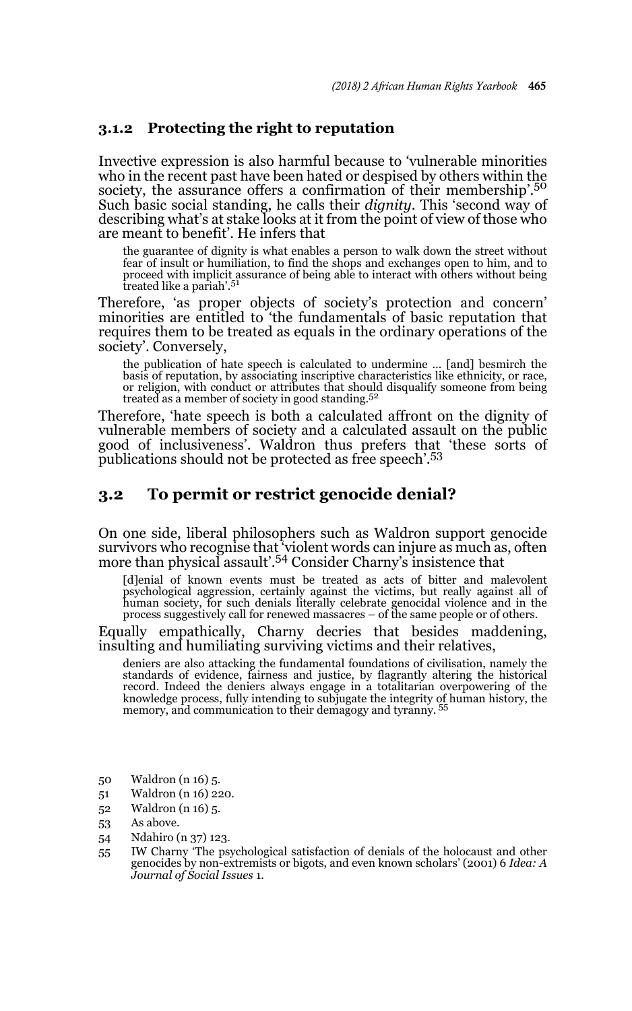#### **3.1.2 Protecting the right to reputation**

Invective expression is also harmful because to 'vulnerable minorities who in the recent past have been hated or despised by others within the society, the assurance offers a confirmation of their membership'.<sup>50</sup> Such basic social standing, he calls their *dignity*. This 'second way of describing what's at stake looks at it from the point of view of those who are meant to benefit'. He infers that

the guarantee of dignity is what enables a person to walk down the street without fear of insult or humiliation, to find the shops and exchanges open to him, and to proceed with implicit assurance of being able to interact with others without being<br>treated like a pariah'.<sup>51</sup>

Therefore, 'as proper objects of society's protection and concern' minorities are entitled to 'the fundamentals of basic reputation that requires them to be treated as equals in the ordinary operations of the society'. Conversely,

the publication of hate speech is calculated to undermine … [and] besmirch the basis of reputation, by associating inscriptive characteristics like ethnicity, or race, or religion, with conduct or attributes that should disqualify someone from being treated as a member of society in good standing.<sup>52</sup>

Therefore, 'hate speech is both a calculated affront on the dignity of vulnerable members of society and a calculated assault on the public good of inclusiveness'. Waldron thus prefers that 'these sorts of publications should not be protected as free speech'.<sup>53</sup>

### **3.2 To permit or restrict genocide denial?**

On one side, liberal philosophers such as Waldron support genocide survivors who recognise that 'violent words can injure as much as, often more than physical assault'.54 Consider Charny's insistence that

[d]enial of known events must be treated as acts of bitter and malevolent psychological aggression, certainly against the victims, but really against all of human society, for such denials literally celebrate genocidal violence and in the process suggestively call for renewed massacres – of the same people or of others.

Equally empathically, Charny decries that besides maddening, insulting and humiliating surviving victims and their relatives,

deniers are also attacking the fundamental foundations of civilisation, namely the standards of evidence, fairness and justice, by flagrantly altering the historical record. Indeed the deniers always engage in a totalitarian overpowering of the knowledge process, fully intending to subjugate the integrity of human history, the memory, and communication to their demagogy and tyranny. 55

- 50 Waldron (n 16) 5.
- 51 Waldron (n 16) 220.
- 52 Waldron (n 16) 5.
- 53 As above.
- 54 Ndahiro (n 37) 123.
- 55 IW Charny 'The psychological satisfaction of denials of the holocaust and other genocides by non-extremists or bigots, and even known scholars' (2001) 6 *Idea: A Journal of Social Issues* 1.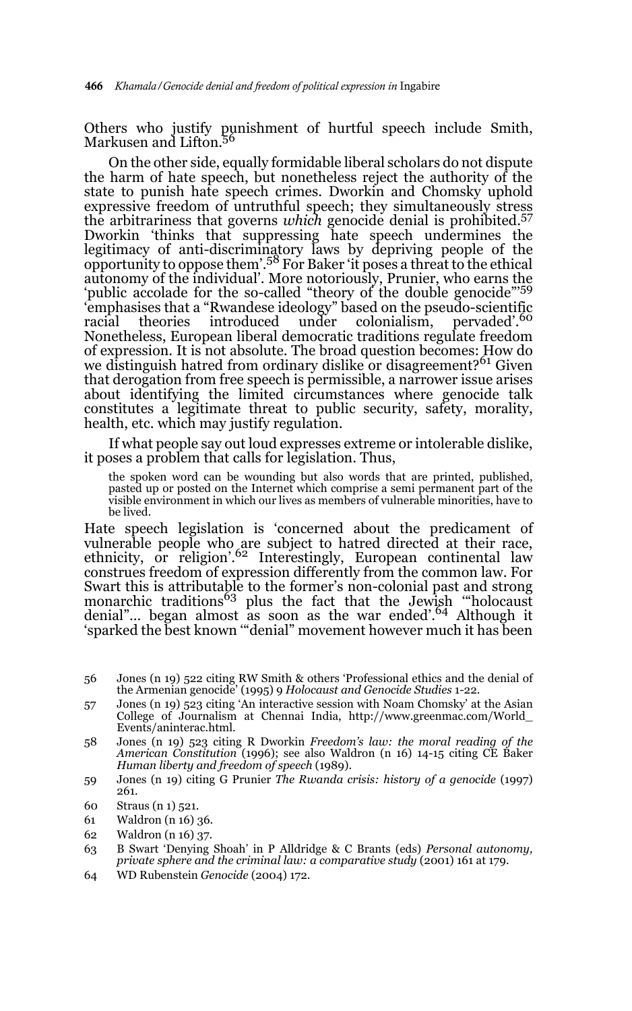Others who justify punishment of hurtful speech include Smith, Markusen and Lifton.<sup>56</sup>

On the other side, equally formidable liberal scholars do not dispute the harm of hate speech, but nonetheless reject the authority of the state to punish hate speech crimes. Dworkin and Chomsky uphold expressive freedom of untruthful speech; they simultaneously stress the arbitrariness that governs *which* genocide denial is prohibited.<sup>57</sup> Dworkin 'thinks that suppressing hate speech undermines the legitimacy of anti-discriminatory laws by depriving people of the opportunity to oppose them'.58 For Baker 'it poses a threat to the ethical autonomy of the individual'. More notoriously, Prunier, who earns the 'public accolade for the so-called "theory of the double genocide"<sup>59</sup> 'emphasises that a "Rwandese ideology" based on the pseudo-scientific racial theories introduced under colonialism, pervaded'.<sup>60</sup> Nonetheless, European liberal democratic traditions regulate freedom of expression. It is not absolute. The broad question becomes: How do we distinguish hatred from ordinary dislike or disagreement?<sup>61</sup> Given that derogation from free speech is permissible, a narrower issue arises about identifying the limited circumstances where genocide talk constitutes a legitimate threat to public security, safety, morality, health, etc. which may justify regulation.

If what people say out loud expresses extreme or intolerable dislike, it poses a problem that calls for legislation. Thus,

the spoken word can be wounding but also words that are printed, published, pasted up or posted on the Internet which comprise a semi permanent part of the visible environment in which our lives as members of vulnerable minorities, have to be lived.

Hate speech legislation is 'concerned about the predicament of vulnerable people who are subject to hatred directed at their race, ethnicity, or religion'.62 Interestingly, European continental law construes freedom of expression differently from the common law. For Swart this is attributable to the former's non-colonial past and strong<br>monarchic traditions<sup>63</sup> plus the fact that the Jewish ""holocaust denial"… began almost as soon as the war ended'.64 Although it 'sparked the best known '"denial" movement however much it has been

- 56 Jones (n 19) 522 citing RW Smith & others 'Professional ethics and the denial of the Armenian genocide' (1995) 9 *Holocaust and Genocide Studies* 1-22.
- 57 Jones (n 19) 523 citing 'An interactive session with Noam Chomsky' at the Asian College of Journalism at Chennai India, http://www.greenmac.com/World\_ Events/aninterac.html.
- 58 Jones (n 19) 523 citing R Dworkin *Freedom's law: the moral reading of the American Constitution* (1996); see also Waldron (n 16) 14-15 citing CE Baker *Human liberty and freedom of speech* (1989).
- 59 Jones (n 19) citing G Prunier *The Rwanda crisis: history of a genocide* (1997) 261.
- 60 Straus (n 1) 521.
- 61 Waldron (n 16) 36.
- 62 Waldron (n 16) 37.
- 63 B Swart 'Denying Shoah' in P Alldridge & C Brants (eds) *Personal autonomy, private sphere and the criminal law: a comparative study* (2001) 161 at 179.
- 64 WD Rubenstein *Genocide* (2004) 172.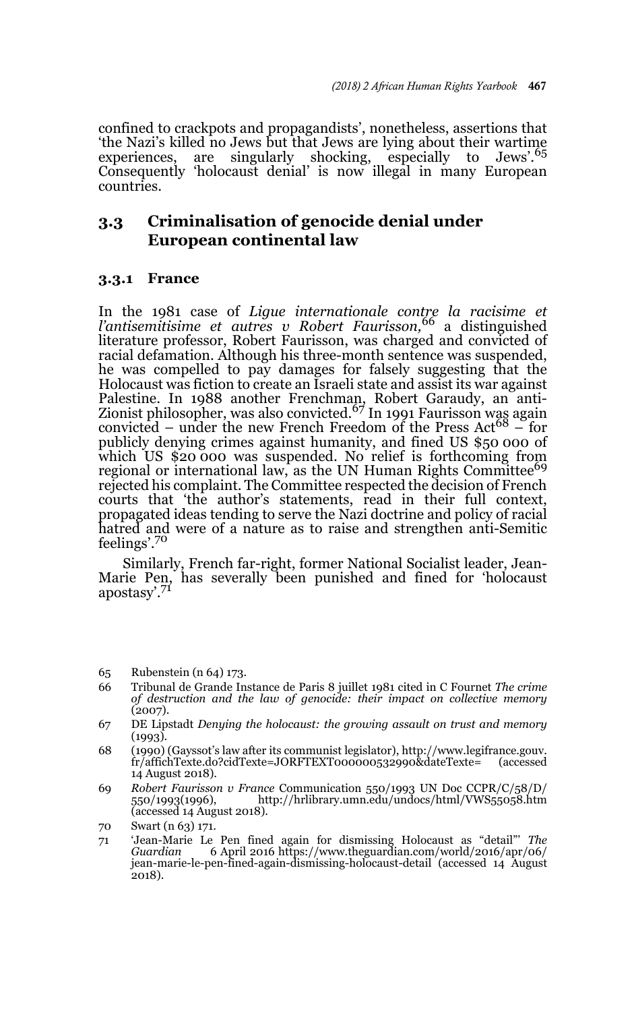confined to crackpots and propagandists', nonetheless, assertions that 'the Nazi's killed no Jews but that Jews are lying about their wartime experiences, are singularly shocking, especially to Jews'.<sup>65</sup> Consequently 'holocaust denial' is now illegal in many European countries.

## **3.3 Criminalisation of genocide denial under European continental law**

### **3.3.1 France**

In the 1981 case of *Ligue internationale contre la racisime et l'antisemitisime et autres v Robert Faurisson,*66 a distinguished literature professor, Robert Faurisson, was charged and convicted of racial defamation. Although his three-month sentence was suspended, he was compelled to pay damages for falsely suggesting that the Holocaust was fiction to create an Israeli state and assist its war against Palestine. In 1988 another Frenchman, Robert Garaudy, an anti-<br>Zionist philosopher, was also convicted.<sup>67</sup> In 1991 Faurisson was again convicted – under the new French Freedom of the Press Act<sup>68</sup> – for publicly denying crimes against humanity, and fined US \$50 000 of which US \$20 000 was suspended. No relief is forthcoming from regional or international law, as the UN Human Rights Committee<sup>69</sup> rejected his complaint. The Committee respected the decision of French courts that 'the author's statements, read in their full context, propagated ideas tending to serve the Nazi doctrine and policy of racial hatred and were of a nature as to raise and strengthen anti-Semitic feelings'.70

Similarly, French far-right, former National Socialist leader, Jean-Marie Pen, has severally been punished and fined for 'holocaust apostasy'.<sup>71</sup>

65 Rubenstein (n 64) 173.

- 66 Tribunal de Grande Instance de Paris 8 juillet 1981 cited in C Fournet *The crime of destruction and the law of genocide: their impact on collective memory*  $(2007)$ .
- 67 DE Lipstadt *Denying the holocaust: the growing assault on trust and memory* (1993).
- 68 (1990) (Gayssot's law after its communist legislator), http://www.legifrance.gouv. fr/affichTexte.do?cidTexte=JORFTEXT000000532990&dateTexte= 14 August 2018).
- 69 *Robert Faurisson v France* Communication 550/1993 UN Doc CCPR/C/58/D/ http://hrlibrary.umn.edu/undocs/html/VWS55058.htm (accessed 14 August 2018).

<sup>70</sup> Swart (n 63) 171.

<sup>71 &#</sup>x27;Jean-Marie Le Pen fined again for dismissing Holocaust as "detail"' *The Guardian* 6 April 2016 https://www.theguardian.com/world/2016/apr/06/ jean-marie-le-pen-fined-again-dismissing-holocaust-detail (accessed 14 August 2018).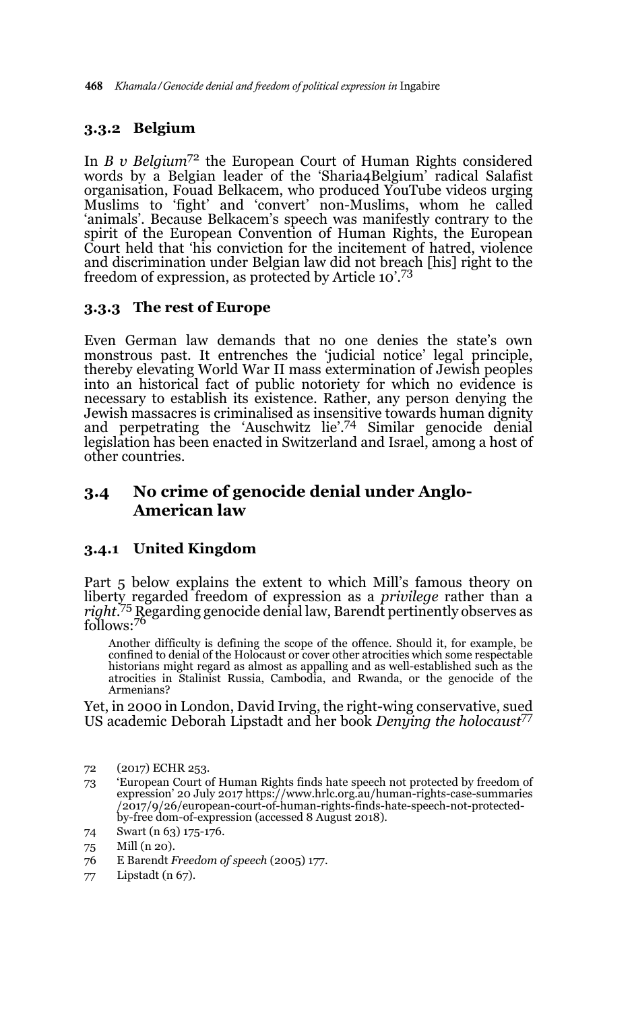### **3.3.2 Belgium**

In *B v Belgium*72 the European Court of Human Rights considered words by a Belgian leader of the 'Sharia4Belgium' radical Salafist organisation, Fouad Belkacem, who produced YouTube videos urging Muslims to 'fight' and 'convert' non-Muslims, whom he called 'animals'. Because Belkacem's speech was manifestly contrary to the spirit of the European Convention of Human Rights, the European Court held that 'his conviction for the incitement of hatred, violence and discrimination under Belgian law did not breach [his] right to the freedom of expression, as protected by Article 10'.<sup>73</sup>

### **3.3.3 The rest of Europe**

Even German law demands that no one denies the state's own monstrous past. It entrenches the 'judicial notice' legal principle, thereby elevating World War II mass extermination of Jewish peoples into an historical fact of public notoriety for which no evidence is necessary to establish its existence. Rather, any person denying the Jewish massacres is criminalised as insensitive towards human dignity and perpetrating the 'Auschwitz lie'.74 Similar genocide denial legislation has been enacted in Switzerland and Israel, among a host of other countries.

## **3.4 No crime of genocide denial under Anglo-American law**

### **3.4.1 United Kingdom**

Part 5 below explains the extent to which Mill's famous theory on liberty regarded freedom of expression as a *privilege* rather than a *right*. 75 Regarding genocide denial law, Barendt pertinently observes as follows:76

Another difficulty is defining the scope of the offence. Should it, for example, be confined to denial of the Holocaust or cover other atrocities which some respectable historians might regard as almost as appalling and as well-established such as the atrocities in Stalinist Russia, Cambodia, and Rwanda, or the genocide of the Armenians?

Yet, in 2000 in London, David Irving, the right-wing conservative, sued US academic Deborah Lipstadt and her book *Denying the holocaust*<sup>77</sup>

- 72 (2017) ECHR 253.
- 73 'European Court of Human Rights finds hate speech not protected by freedom of expression' 20 July 2017 https://www.hrlc.org.au/human-rights-case-summaries /2017/9/26/european-court-of-human-rights-finds-hate-speech-not-protectedby-free dom-of-expression (accessed 8 August 2018).
- 74 Swart (n 63) 175-176.
- 75 Mill (n 20).
- 76 E Barendt *Freedom of speech* (2005) 177.
- 77 Lipstadt (n 67).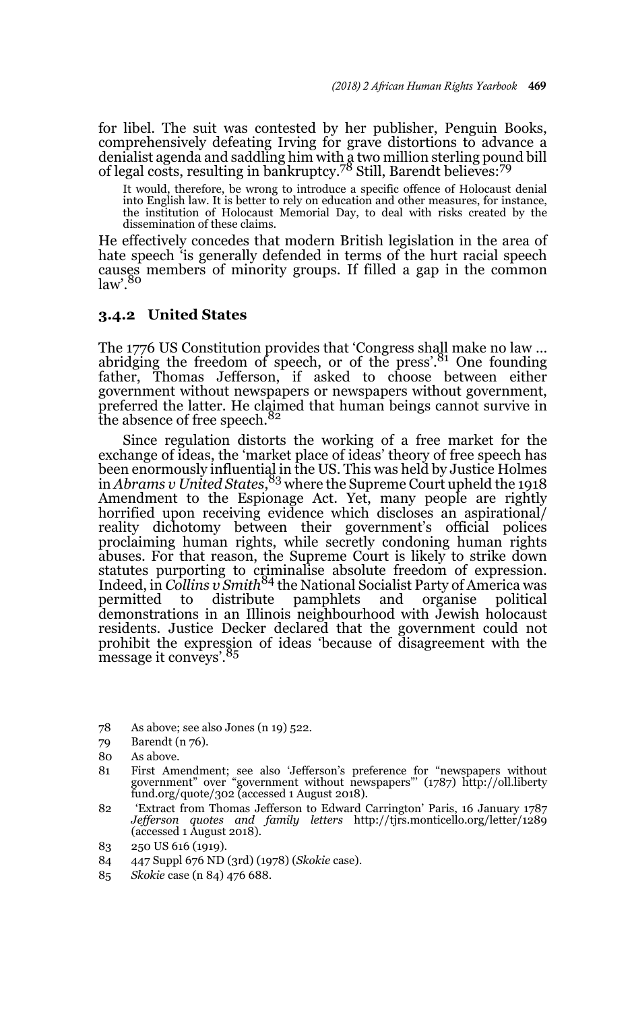for libel. The suit was contested by her publisher, Penguin Books, comprehensively defeating Irving for grave distortions to advance a denialist agenda and saddling him with a two million sterling pound bill<br>of legal costs, resulting in bankruptcy.<sup>78</sup> Still, Barendt believes:<sup>79</sup>

It would, therefore, be wrong to introduce a specific offence of Holocaust denial into English law. It is better to rely on education and other measures, for instance, the institution of Holocaust Memorial Day, to deal with risks created by the dissemination of these claims.

He effectively concedes that modern British legislation in the area of hate speech 'is generally defended in terms of the hurt racial speech causes members of minority groups. If filled a gap in the common  $law$ <sup>.80</sup>

#### **3.4.2 United States**

The 1776 US Constitution provides that 'Congress shall make no law … abridging the freedom of speech, or of the press'.<sup>81</sup> One founding father, Thomas Jefferson, if asked to choose between either government without newspapers or newspapers without government, preferred the latter. He claimed that human beings cannot survive in the absence of free speech.<sup>82</sup>

Since regulation distorts the working of a free market for the exchange of ideas, the 'market place of ideas' theory of free speech has been enormously influential in the US. This was held by Justice Holmes in *Abrams v United States*, 83 where the Supreme Court upheld the 1918 Amendment to the Espionage Act. Yet, many people are rightly horrified upon receiving evidence which discloses an aspirational/ reality dichotomy between their government's official polices proclaiming human rights, while secretly condoning human rights abuses. For that reason, the Supreme Court is likely to strike down statutes purporting to criminalise absolute freedom of expression.<br>Indeed, in *Collins v Smith<sup>84</sup>* the National Socialist Party of America was permitted to distribute pamphlets and organise political demonstrations in an Illinois neighbourhood with Jewish holocaust residents. Justice Decker declared that the government could not prohibit the expression of ideas 'because of disagreement with the message it conveys'.<sup>85</sup>

- 78 As above; see also Jones (n 19) 522.
- 79 Barendt (n 76).
- 80 As above.
- 81 First Amendment; see also 'Jefferson's preference for "newspapers without government" over "government without newspapers"' (1787) http://oll.liberty fund.org/quote/302 (accessed 1 August 2018).
- 82 'Extract from Thomas Jefferson to Edward Carrington' Paris, 16 January 1787 *Jefferson quotes and family letters* http://tjrs.monticello.org/letter/1289 (accessed 1 August 2018).
- 83 250 US 616 (1919).
- 84 447 Suppl 676 ND (3rd) (1978) (*Skokie* case).
- 85 *Skokie* case (n 84) 476 688.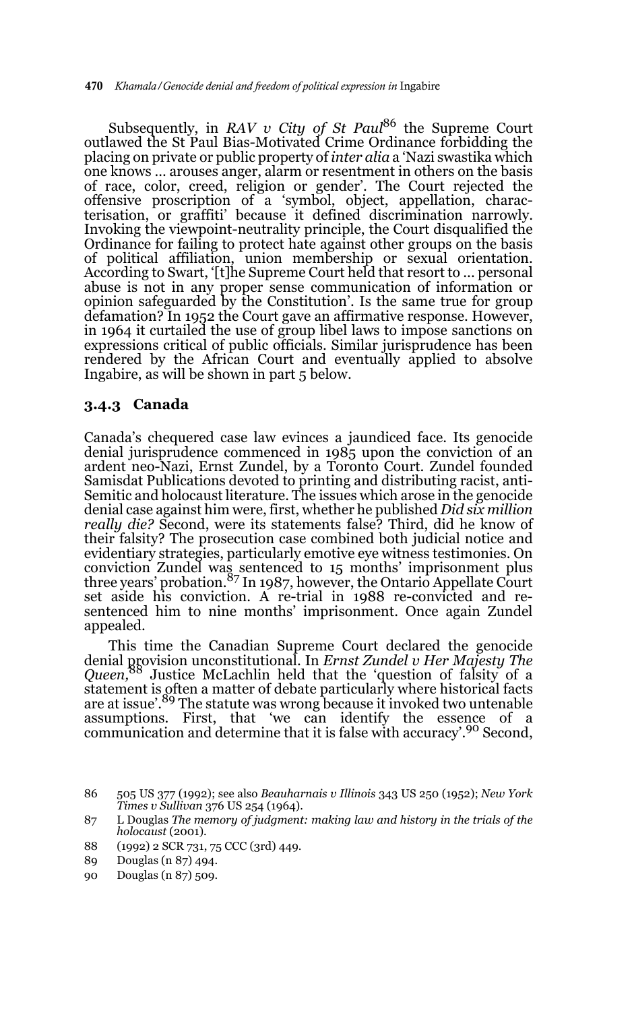Subsequently, in *RAV v City of St Paul*<sup>86</sup> the Supreme Court outlawed the St Paul Bias-Motivated Crime Ordinance forbidding the placing on private or public property of *inter alia* a 'Nazi swastika which one knows … arouses anger, alarm or resentment in others on the basis of race, color, creed, religion or gender'. The Court rejected the offensive proscription of a 'symbol, object, appellation, characterisation, or graffiti' because it defined discrimination narrowly. Invoking the viewpoint-neutrality principle, the Court disqualified the Ordinance for failing to protect hate against other groups on the basis of political affiliation, union membership or sexual orientation. According to Swart, '[t]he Supreme Court held that resort to ... personal abuse is not in any proper sense communication of information or opinion safeguarded by the Constitution'. Is the same true for group defamation? In 1952 the Court gave an affirmative response. However, in 1964 it curtailed the use of group libel laws to impose sanctions on expressions critical of public officials. Similar jurisprudence has been rendered by the African Court and eventually applied to absolve Ingabire, as will be shown in part 5 below.

#### **3.4.3 Canada**

Canada's chequered case law evinces a jaundiced face. Its genocide denial jurisprudence commenced in 1985 upon the conviction of an ardent neo-Nazi, Ernst Zundel, by a Toronto Court. Zundel founded Samisdat Publications devoted to printing and distributing racist, anti-Semitic and holocaust literature. The issues which arose in the genocide denial case against him were, first, whether he published *Did six million really die?* Second, were its statements false? Third, did he know of their falsity? The prosecution case combined both judicial notice and evidentiary strategies, particularly emotive eye witness testimonies. On conviction Zundel was sentenced to 15 months' imprisonment plus three years' probation.<sup>87</sup> In 1987, however, the Ontario Appellate Court set aside his conviction. A re-trial in 1988 re-convicted and resentenced him to nine months' imprisonment. Once again Zundel appealed.

This time the Canadian Supreme Court declared the genocide denial provision unconstitutional. In *Ernst Zundel v Her Majesty The Queen,*88 Justice McLachlin held that the 'question of falsity of a statement is often a matter of debate particularly where historical facts are at issue'.<sup>89</sup> The statute was wrong because it invoked two untenable assumptions. First, that 'we can identify the essence of a communication and determine that it is false with accuracy'.90 Second,

<sup>86 505</sup> US 377 (1992); see also *Beauharnais v Illinois* 343 US 250 (1952); *New York Times v Sullivan* 376 US 254 (1964).

<sup>87</sup> L Douglas *The memory of judgment: making law and history in the trials of the holocaust* (2001).

<sup>88 (1992) 2</sup> SCR 731, 75 CCC (3rd) 449.

<sup>89</sup> Douglas (n 87) 494.

<sup>90</sup> Douglas (n 87) 509.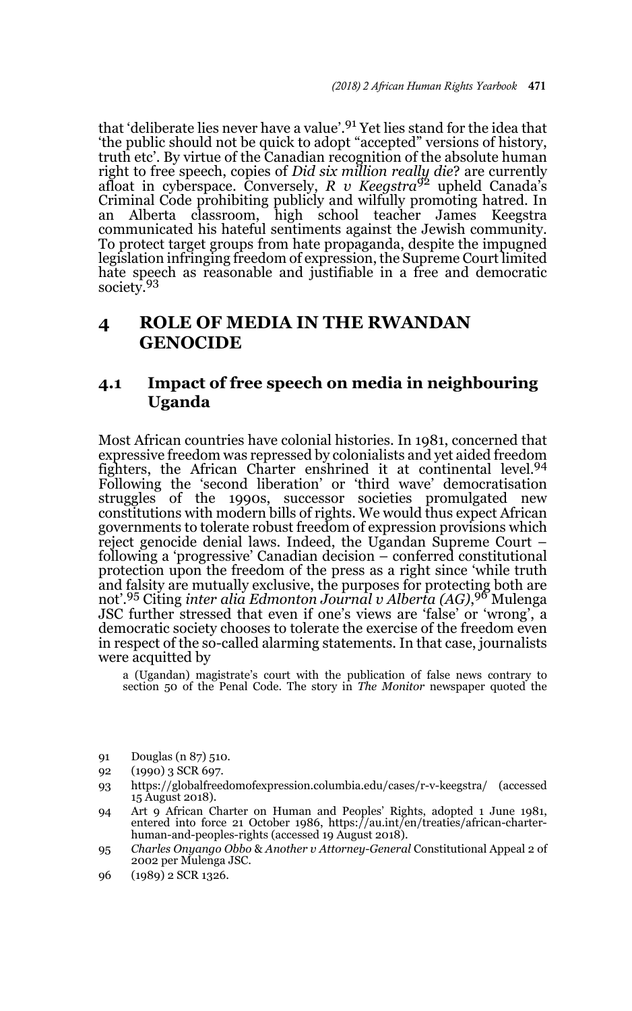that 'deliberate lies never have a value'.91 Yet lies stand for the idea that 'the public should not be quick to adopt "accepted" versions of history, truth etc'. By virtue of the Canadian recognition of the absolute human right to free speech, copies of *Did six million really die*? are currently afloat in cyberspace. Conversely, *R v Keegstra*92 upheld Canada's Criminal Code prohibiting publicly and wilfully promoting hatred. In an Alberta classroom, high school teacher James Keegstra communicated his hateful sentiments against the Jewish community. To protect target groups from hate propaganda, despite the impugned legislation infringing freedom of expression, the Supreme Court limited hate speech as reasonable and justifiable in a free and democratic society.<sup>93</sup>

## **4 ROLE OF MEDIA IN THE RWANDAN GENOCIDE**

### **4.1 Impact of free speech on media in neighbouring Uganda**

Most African countries have colonial histories. In 1981, concerned that expressive freedom was repressed by colonialists and yet aided freedom fighters, the African Charter enshrined it at continental level.<sup>94</sup> Following the 'second liberation' or 'third wave' democratisation struggles of the 1990s, successor societies promulgated new constitutions with modern bills of rights. We would thus expect African governments to tolerate robust freedom of expression provisions which reject genocide denial laws. Indeed, the Ugandan Supreme Court – following a 'progressive' Canadian decision – conferred constitutional protection upon the freedom of the press as a right since 'while truth and falsity are mutually exclusive, the purposes for protecting both are not'.95 Citing *inter alia Edmonton Journal v Alberta (AG)*, 96 Mulenga JSC further stressed that even if one's views are 'false' or 'wrong', a democratic society chooses to tolerate the exercise of the freedom even in respect of the so-called alarming statements. In that case, journalists were acquitted by

a (Ugandan) magistrate's court with the publication of false news contrary to section 50 of the Penal Code. The story in *The Monitor* newspaper quoted the

- 91 Douglas (n 87) 510.
- 92 (1990) 3 SCR 697.
- 93 https://globalfreedomofexpression.columbia.edu/cases/r-v-keegstra/ (accessed 15 August 2018).
- 94 Art 9 African Charter on Human and Peoples' Rights, adopted 1 June 1981, entered into force 21 October 1986, https://au.int/en/treaties/african-charterhuman-and-peoples-rights (accessed 19 August 2018).
- 95 *Charles Onyango Obbo* & *Another v Attorney-General* Constitutional Appeal 2 of 2002 per Mulenga JSC.
- 96 (1989) 2 SCR 1326.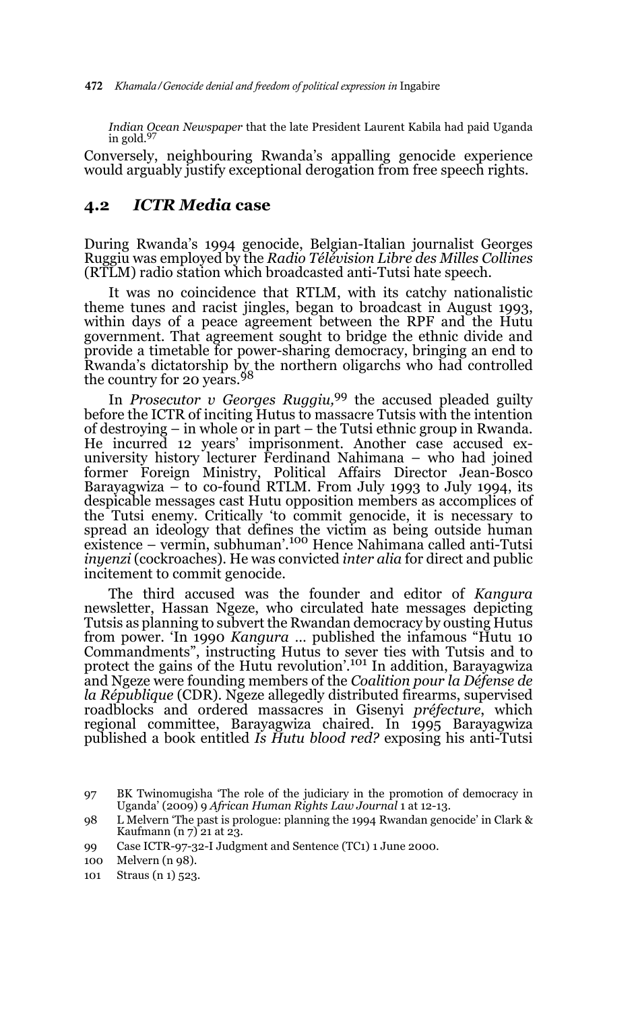*Indian Ocean Newspaper* that the late President Laurent Kabila had paid Uganda in gold.<sup>97</sup>

Conversely, neighbouring Rwanda's appalling genocide experience would arguably justify exceptional derogation from free speech rights.

### **4.2** *ICTR Media* **case**

During Rwanda's 1994 genocide, Belgian-Italian journalist Georges Ruggiu was employed by the *Radio Télévision Libre des Milles Collines* (RTLM) radio station which broadcasted anti-Tutsi hate speech.

It was no coincidence that RTLM, with its catchy nationalistic theme tunes and racist jingles, began to broadcast in August 1993, within days of a peace agreement between the RPF and the Hutu government. That agreement sought to bridge the ethnic divide and provide a timetable for power-sharing democracy, bringing an end to Rwanda's dictatorship by the northern oligarchs who had controlled the country for 20 years.<sup>98</sup>

In *Prosecutor v Georges Ruggiu,*99 the accused pleaded guilty before the ICTR of inciting Hutus to massacre Tutsis with the intention of destroying – in whole or in part – the Tutsi ethnic group in Rwanda. He incurred 12 years' imprisonment. Another case accused exuniversity history lecturer Ferdinand Nahimana – who had joined former Foreign Ministry, Political Affairs Director Jean-Bosco Barayagwiza – to co-found RTLM. From July 1993 to July 1994, its despicable messages cast Hutu opposition members as accomplices of the Tutsi enemy. Critically 'to commit genocide, it is necessary to spread an ideology that defines the victim as being outside human<br>existence – vermin, subhuman'.<sup>100</sup> Hence Nahimana called anti-Tutsi *inyenzi* (cockroaches). He was convicted *inter alia* for direct and public incitement to commit genocide.

The third accused was the founder and editor of *Kangura* newsletter, Hassan Ngeze, who circulated hate messages depicting Tutsis as planning to subvert the Rwandan democracy by ousting Hutus from power. 'In 1990 *Kangura* … published the infamous "Hutu 10 Commandments", instructing Hutus to sever ties with Tutsis and to protect the gains of the Hutu revolution'.101 In addition, Barayagwiza and Ngeze were founding members of the *Coalition pour la Défense de la République* (CDR). Ngeze allegedly distributed firearms, supervised roadblocks and ordered massacres in Gisenyi *préfecture*, which regional committee, Barayagwiza chaired. In 1995 Barayagwiza published a book entitled *Is Hutu blood red?* exposing his anti-Tutsi

99 Case ICTR-97-32-I Judgment and Sentence (TC1) 1 June 2000.

101 Straus (n 1) 523.

<sup>97</sup> BK Twinomugisha 'The role of the judiciary in the promotion of democracy in Uganda' (2009) 9 *African Human Rights Law Journal* 1 at 12-13.

<sup>98</sup> L Melvern 'The past is prologue: planning the 1994 Rwandan genocide' in Clark & Kaufmann  $(n 7)$  21 at 23.

<sup>100</sup> Melvern (n 98).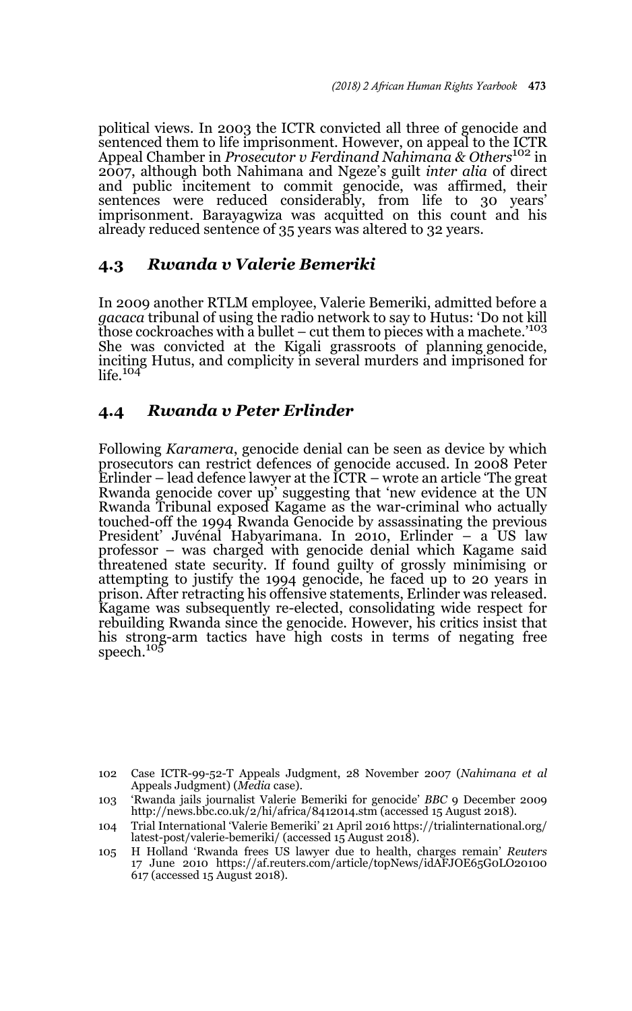political views. In 2003 the ICTR convicted all three of genocide and sentenced them to life imprisonment. However, on appeal to the ICTR Appeal Chamber in *Prosecutor v Ferdinand Nahimana & Others*102 in 2007, although both Nahimana and Ngeze's guilt *inter alia* of direct and public incitement to commit genocide, was affirmed, their sentences were reduced considerably, from life to 30 years' imprisonment. Barayagwiza was acquitted on this count and his already reduced sentence of 35 years was altered to 32 years.

### **4.3** *Rwanda v Valerie Bemeriki*

In 2009 another RTLM employee, Valerie Bemeriki, admitted before a *gacaca* tribunal of using the radio network to say to Hutus: 'Do not kill those cockroaches with a bullet – cut them to pieces with a machete.<sup>'103</sup> She was convicted at the Kigali grassroots of planning genocide, inciting Hutus, and complicity in several murders and imprisoned for  $life.$ <sup>104</sup>

### **4.4** *Rwanda v Peter Erlinder*

Following *Karamera*, genocide denial can be seen as device by which prosecutors can restrict defences of genocide accused. In 2008 Peter Erlinder – lead defence lawyer at the ICTR – wrote an article 'The great Rwanda genocide cover up' suggesting that 'new evidence at the UN Rwanda Tribunal exposed Kagame as the war-criminal who actually touched-off the 1994 Rwanda Genocide by assassinating the previous President' Juvénal Habyarimana. In 2010, Erlinder – a US law professor – was charged with genocide denial which Kagame said threatened state security. If found guilty of grossly minimising or attempting to justify the 1994 genocide, he faced up to 20 years in prison. After retracting his offensive statements, Erlinder was released. Kagame was subsequently re-elected, consolidating wide respect for rebuilding Rwanda since the genocide. However, his critics insist that his strong-arm tactics have high costs in terms of negating free speech.<sup>105</sup>

<sup>102</sup> Case ICTR-99-52-T Appeals Judgment, 28 November 2007 (*Nahimana et al* Appeals Judgment) (*Media* case).

<sup>103 &#</sup>x27;Rwanda jails journalist Valerie Bemeriki for genocide' *BBC* 9 December 2009 http://news.bbc.co.uk/2/hi/africa/8412014.stm (accessed 15 August 2018).

<sup>104</sup> Trial International 'Valerie Bemeriki' 21 April 2016 https://trialinternational.org/ latest-post/valerie-bemeriki/ (accessed 15 August 2018).

<sup>105</sup> H Holland 'Rwanda frees US lawyer due to health, charges remain' *Reuters* 17 June 2010 https://af.reuters.com/article/topNews/idAFJOE65G0LO20100 617 (accessed 15 August 2018).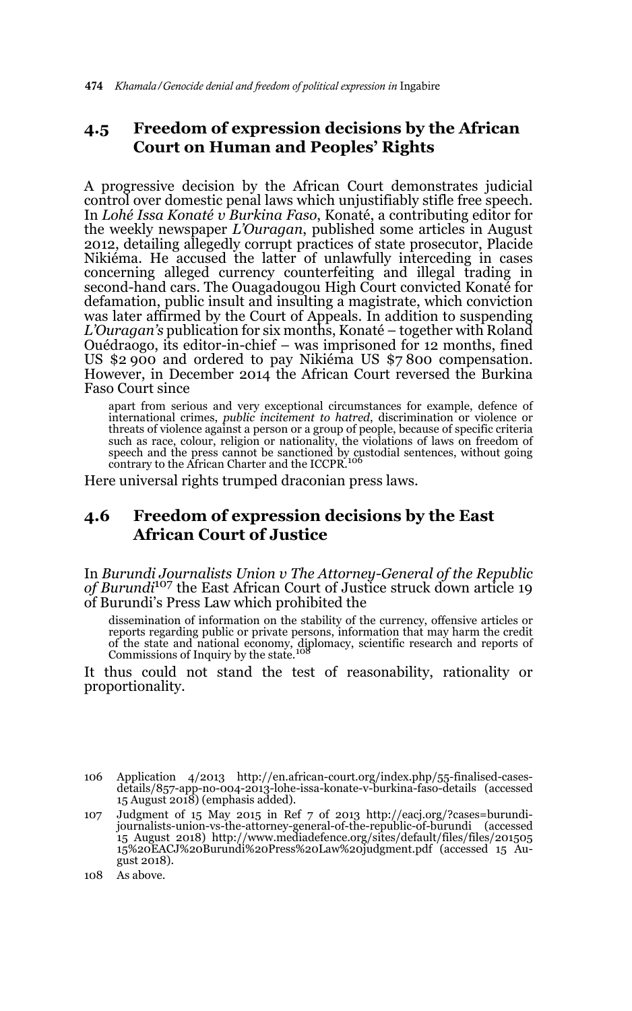## **4.5 Freedom of expression decisions by the African Court on Human and Peoples' Rights**

A progressive decision by the African Court demonstrates judicial control over domestic penal laws which unjustifiably stifle free speech. In *Lohé Issa Konaté v Burkina Faso*, Konaté, a contributing editor for the weekly newspaper *L'Ouragan*, published some articles in August 2012, detailing allegedly corrupt practices of state prosecutor, Placide Nikiéma. He accused the latter of unlawfully interceding in cases concerning alleged currency counterfeiting and illegal trading in second-hand cars. The Ouagadougou High Court convicted Konaté for defamation, public insult and insulting a magistrate, which conviction was later affirmed by the Court of Appeals. In addition to suspending *L'Ouragan's* publication for six months, Konaté – together with Roland Ouédraogo, its editor-in-chief – was imprisoned for 12 months, fined US \$2 900 and ordered to pay Nikiéma US \$7 800 compensation. However, in December 2014 the African Court reversed the Burkina Faso Court since

apart from serious and very exceptional circumstances for example, defence of international crimes, *public incitement to hatred*, discrimination or violence or threats of violence against a person or a group of people, because of specific criteria such as race, colour, religion or nationality, the violations of laws on freedom of<br>speech and the press cannot be sanctioned by custodial sentences, without going<br>contrary to the African Charter and the ICCPR.<sup>106</sup>

Here universal rights trumped draconian press laws.

## **4.6 Freedom of expression decisions by the East African Court of Justice**

In *Burundi Journalists Union v The Attorney-General of the Republic of Burundi*107 the East African Court of Justice struck down article 19 of Burundi's Press Law which prohibited the

dissemination of information on the stability of the currency, offensive articles or reports regarding public or private persons, information that may harm the credit of the state and national economy, diplomacy, scientific research and reports of Commissions of Inquiry by the state.<sup>108</sup>

It thus could not stand the test of reasonability, rationality or proportionality.

- 106 Application 4/2013 http://en.african-court.org/index.php/55-finalised-casesdetails/857-app-no-004-2013-lohe-issa-konate-v-burkina-faso-details (accessed 15 August 2018) (emphasis added).
- 107 Judgment of 15 May 2015 in Ref 7 of 2013 http://eacj.org/?cases=burundijournalists-union-vs-the-attorney-general-of-the-republic-of-burundi (accessed 15 August 2018) http://www.mediadefence.org/sites/default/files/files/201505 15%20EACJ%20Burundi%20Press%20Law%20judgment.pdf (accessed 15 August 2018).

<sup>108</sup> As above.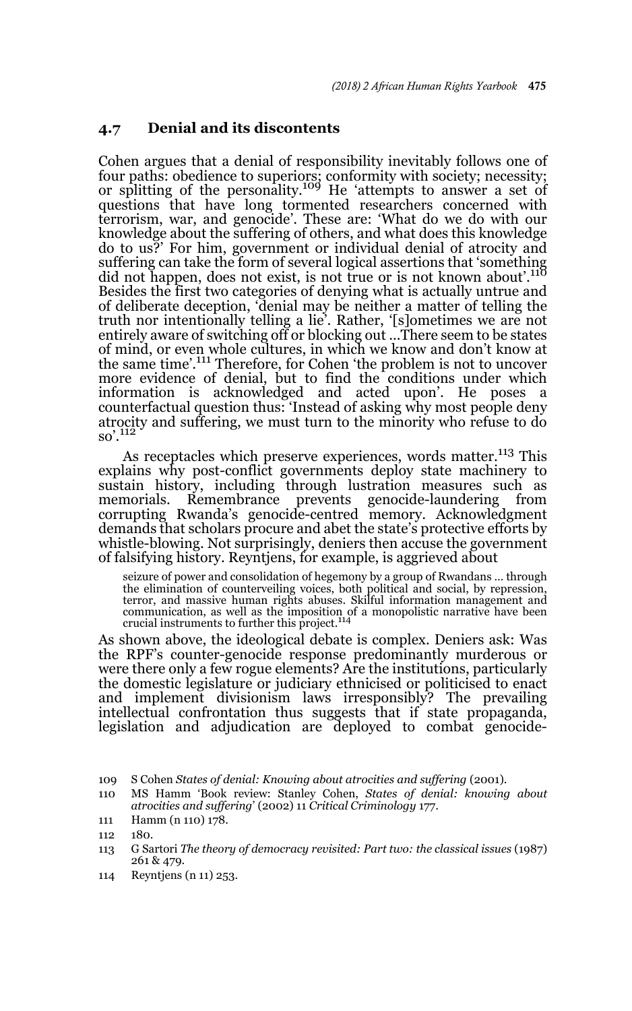#### **4.7 Denial and its discontents**

Cohen argues that a denial of responsibility inevitably follows one of four paths: obedience to superiors; conformity with society; necessity; or splitting of the personality.<sup>109</sup> He 'attempts to answer a set of questions that have long tormented researchers concerned with terrorism, war, and genocide'. These are: 'What do we do with our knowledge about the suffering of others, and what does this knowledge do to us?' For him, government or individual denial of atrocity and suffering can take the form of several logical assertions that 'something<br>did not happen, does not exist, is not true or is not known about'.<sup>110</sup> Besides the first two categories of denying what is actually untrue and of deliberate deception, 'denial may be neither a matter of telling the truth nor intentionally telling a lie'. Rather, '[s]ometimes we are not entirely aware of switching off or blocking out ...There seem to be states of mind, or even whole cultures, in which we know and don't know at the same time'.111 Therefore, for Cohen 'the problem is not to uncover more evidence of denial, but to find the conditions under which information is acknowledged and acted upon'. He poses a counterfactual question thus: 'Instead of asking why most people deny atrocity and suffering, we must turn to the minority who refuse to do so'.<sup>112</sup>

As receptacles which preserve experiences, words matter.<sup>113</sup> This explains why post-conflict governments deploy state machinery to sustain history, including through lustration measures such as memorials. Remembrance prevents genocide-laundering from corrupting Rwanda's genocide-centred memory. Acknowledgment demands that scholars procure and abet the state's protective efforts by whistle-blowing. Not surprisingly, deniers then accuse the government of falsifying history. Reyntjens, for example, is aggrieved about

seizure of power and consolidation of hegemony by a group of Rwandans … through the elimination of counterveiling voices, both political and social, by repression, terror, and massive human rights abuses. Skilful information management and communication, as well as the imposition of a monopolistic narrative have been crucial instruments to further this project.<sup>114</sup>

As shown above, the ideological debate is complex. Deniers ask: Was the RPF's counter-genocide response predominantly murderous or were there only a few rogue elements? Are the institutions, particularly the domestic legislature or judiciary ethnicised or politicised to enact and implement divisionism laws irresponsibly? The prevailing intellectual confrontation thus suggests that if state propaganda, legislation and adjudication are deployed to combat genocide-

111 Hamm (n 110) 178.

- 113 G Sartori *The theory of democracy revisited: Part two: the classical issues* (1987) 261 & 479.
- 114 Reyntjens (n 11) 253.

<sup>109</sup> S Cohen *States of denial: Knowing about atrocities and suffering* (2001).

<sup>110</sup> MS Hamm 'Book review: Stanley Cohen, *States of denial: knowing about atrocities and suffering*' (2002) 11 *Critical Criminology* 177.

<sup>112 180.</sup>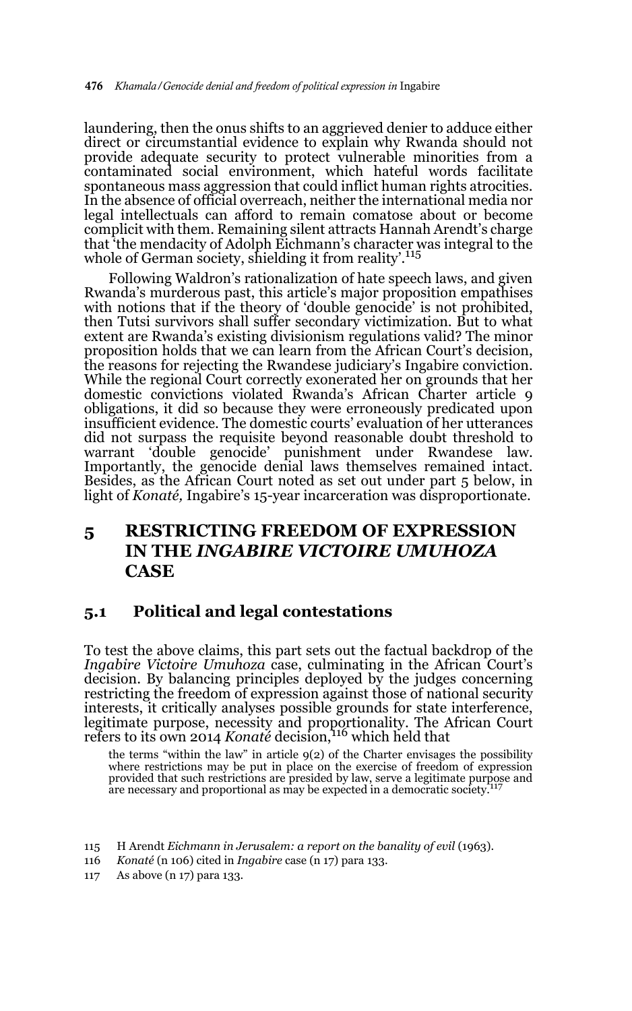laundering, then the onus shifts to an aggrieved denier to adduce either direct or circumstantial evidence to explain why Rwanda should not provide adequate security to protect vulnerable minorities from a contaminated social environment, which hateful words facilitate spontaneous mass aggression that could inflict human rights atrocities. In the absence of official overreach, neither the international media nor legal intellectuals can afford to remain comatose about or become complicit with them. Remaining silent attracts Hannah Arendt's charge that 'the mendacity of Adolph Eichmann's character was integral to the whole of German society, shielding it from reality'.<sup>115</sup>

Following Waldron's rationalization of hate speech laws, and given Rwanda's murderous past, this article's major proposition empathises with notions that if the theory of 'double genocide' is not prohibited, then Tutsi survivors shall suffer secondary victimization. But to what extent are Rwanda's existing divisionism regulations valid? The minor proposition holds that we can learn from the African Court's decision, the reasons for rejecting the Rwandese judiciary's Ingabire conviction. While the regional Court correctly exonerated her on grounds that her domestic convictions violated Rwanda's African Charter article 9 obligations, it did so because they were erroneously predicated upon insufficient evidence. The domestic courts' evaluation of her utterances did not surpass the requisite beyond reasonable doubt threshold to warrant 'double genocide' punishment under Rwandese law. Importantly, the genocide denial laws themselves remained intact. Besides, as the African Court noted as set out under part 5 below, in light of *Konaté,* Ingabire's 15-year incarceration was disproportionate.

## **5 RESTRICTING FREEDOM OF EXPRESSION IN THE** *INGABIRE VICTOIRE UMUHOZA*  **CASE**

### **5.1 Political and legal contestations**

To test the above claims, this part sets out the factual backdrop of the *Ingabire Victoire Umuhoza* case, culminating in the African Court's decision. By balancing principles deployed by the judges concerning restricting the freedom of expression against those of national security interests, it critically analyses possible grounds for state interference, legitimate purpose, necessity and proportionality. The African Court refers to its own 2014 *Konaté* decision,116 which held that

the terms "within the law" in article 9(2) of the Charter envisages the possibility where restrictions may be put in place on the exercise of freedom of expression provided that such restrictions are presided by law, serve a legitimate purpose and are necessary and proportional as may be expected in a democratic society.

- 115 H Arendt *Eichmann in Jerusalem: a report on the banality of evil* (1963).
- 116 *Konaté* (n 106) cited in *Ingabire* case (n 17) para 133.
- 117 As above (n 17) para 133.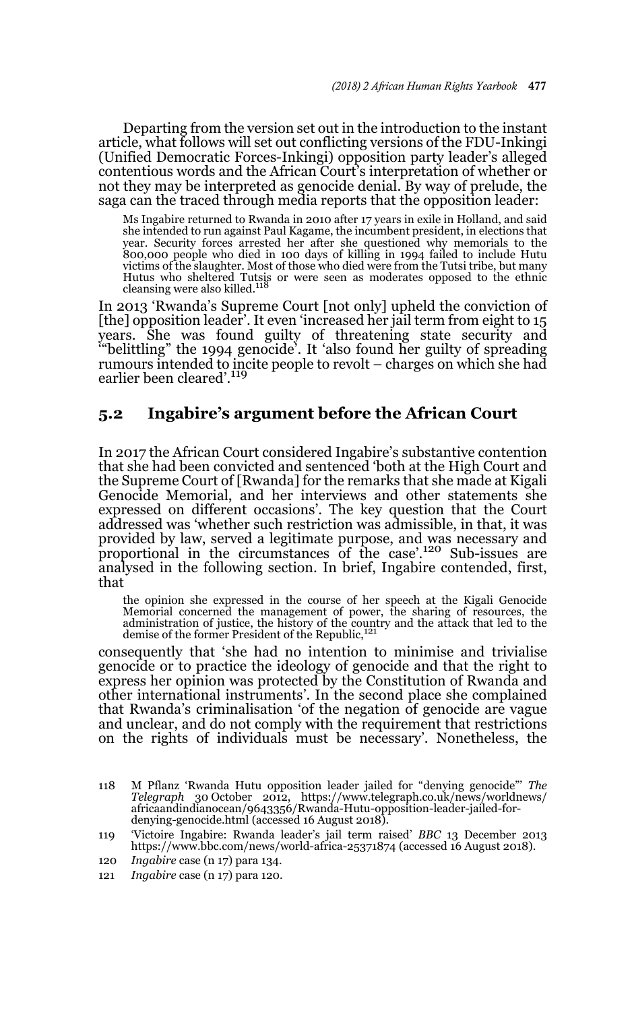Departing from the version set out in the introduction to the instant article, what follows will set out conflicting versions of the FDU-Inkingi (Unified Democratic Forces-Inkingi) opposition party leader's alleged contentious words and the African Court's interpretation of whether or not they may be interpreted as genocide denial. By way of prelude, the saga can the traced through media reports that the opposition leader:

Ms Ingabire returned to Rwanda in 2010 after 17 years in exile in Holland, and said she intended to run against Paul Kagame, the incumbent president, in elections that year. Security forces arrested her after she questioned why memorials to the 800,000 people who died in 100 days of killing in 1994 failed to include Hutu victims of the slaughter. Most of those who died were from the Tutsi tribe, but many Hutus who sheltered Tutsis or were seen as moderates opposed to the ethnic<br>cleansing were also killed.<sup>118</sup>

In 2013 'Rwanda's Supreme Court [not only] upheld the conviction of [the] opposition leader'. It even 'increased her jail term from eight to 15 years. She was found guilty of threatening state security and '"belittling" the 1994 genocide'. It 'also found her guilty of spreading rumours intended to incite people to revolt – charges on which she had earlier been cleared'.<sup>119</sup>

### **5.2 Ingabire's argument before the African Court**

In 2017 the African Court considered Ingabire's substantive contention that she had been convicted and sentenced 'both at the High Court and the Supreme Court of [Rwanda] for the remarks that she made at Kigali Genocide Memorial, and her interviews and other statements she expressed on different occasions'. The key question that the Court addressed was 'whether such restriction was admissible, in that, it was provided by law, served a legitimate purpose, and was necessary and proportional in the circumstances of the case'.120 Sub-issues are analysed in the following section. In brief, Ingabire contended, first, that

the opinion she expressed in the course of her speech at the Kigali Genocide Memorial concerned the management of power, the sharing of resources, the administration of justice, the history of the country and the attack that led to the demise of the former President of the Republic,<sup>121</sup>

consequently that 'she had no intention to minimise and trivialise genocide or to practice the ideology of genocide and that the right to express her opinion was protected by the Constitution of Rwanda and other international instruments'. In the second place she complained that Rwanda's criminalisation 'of the negation of genocide are vague and unclear, and do not comply with the requirement that restrictions on the rights of individuals must be necessary'. Nonetheless, the

- 118 M Pflanz 'Rwanda Hutu opposition leader jailed for "denying genocide"' *The Telegraph* 30 October 2012, https://www.telegraph.co.uk/news/worldnews/ africaandindianocean/9643356/Rwanda-Hutu-opposition-leader-jailed-fordenying-genocide.html (accessed 16 August 2018).
- 119 'Victoire Ingabire: Rwanda leader's jail term raised' *BBC* 13 December 2013 https://www.bbc.com/news/world-africa-25371874 (accessed 16 August 2018).
- 120 *Ingabire* case (n 17) para 134.
- 121 *Ingabire* case (n 17) para 120.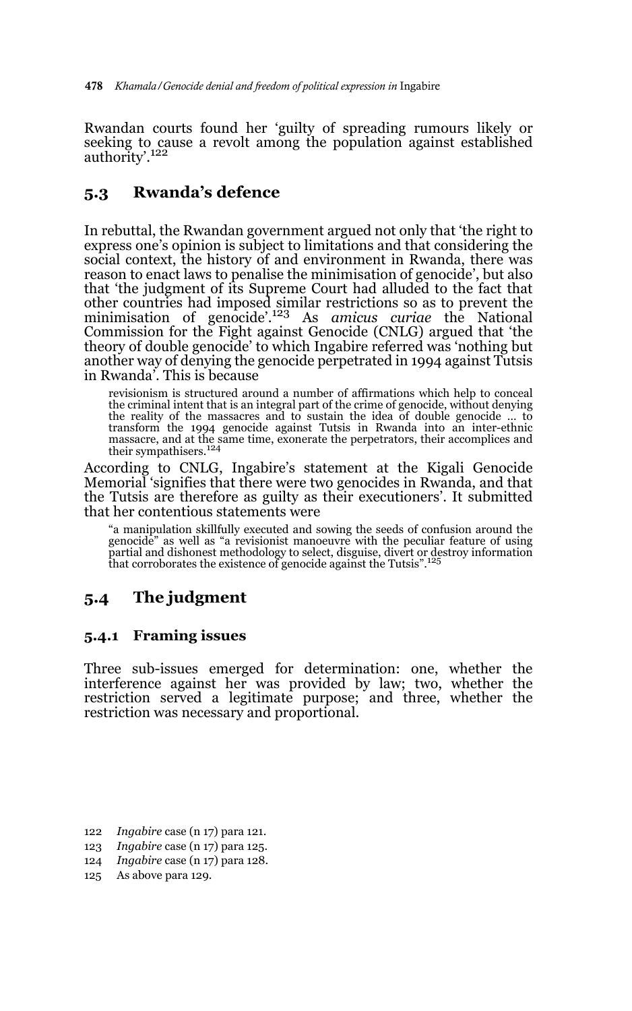Rwandan courts found her 'guilty of spreading rumours likely or seeking to cause a revolt among the population against established authority'.<sup>122</sup>

## **5.3 Rwanda's defence**

In rebuttal, the Rwandan government argued not only that 'the right to express one's opinion is subject to limitations and that considering the social context, the history of and environment in Rwanda, there was reason to enact laws to penalise the minimisation of genocide', but also that 'the judgment of its Supreme Court had alluded to the fact that other countries had imposed similar restrictions so as to prevent the minimisation of genocide'.123 As *amicus curiae* the National Commission for the Fight against Genocide (CNLG) argued that 'the theory of double genocide' to which Ingabire referred was 'nothing but another way of denying the genocide perpetrated in 1994 against Tutsis in Rwanda'. This is because

revisionism is structured around a number of affirmations which help to conceal the criminal intent that is an integral part of the crime of genocide, without denying the reality of the massacres and to sustain the idea of double genocide ... to transform the 1994 genocide against Tutsis in Rwanda into an inter-ethnic massacre, and at the same time, exonerate the perpetrators, their accomplices and their sympathisers.<sup>124</sup>

According to CNLG, Ingabire's statement at the Kigali Genocide Memorial 'signifies that there were two genocides in Rwanda, and that the Tutsis are therefore as guilty as their executioners'. It submitted that her contentious statements were

"a manipulation skillfully executed and sowing the seeds of confusion around the genocide" as well as "a revisionist manoeuvre with the peculiar feature of using partial and dishonest methodology to select, disguise, divert or destroy information that corroborates the existence of genocide against the Tutsis".<sup>125</sup>

## **5.4 The judgment**

### **5.4.1 Framing issues**

Three sub-issues emerged for determination: one, whether the interference against her was provided by law; two, whether the restriction served a legitimate purpose; and three, whether the restriction was necessary and proportional.

<sup>122</sup> *Ingabire* case (n 17) para 121.

<sup>123</sup> *Ingabire* case (n 17) para 125.

<sup>124</sup> *Ingabire* case (n 17) para 128.

<sup>125</sup> As above para 129.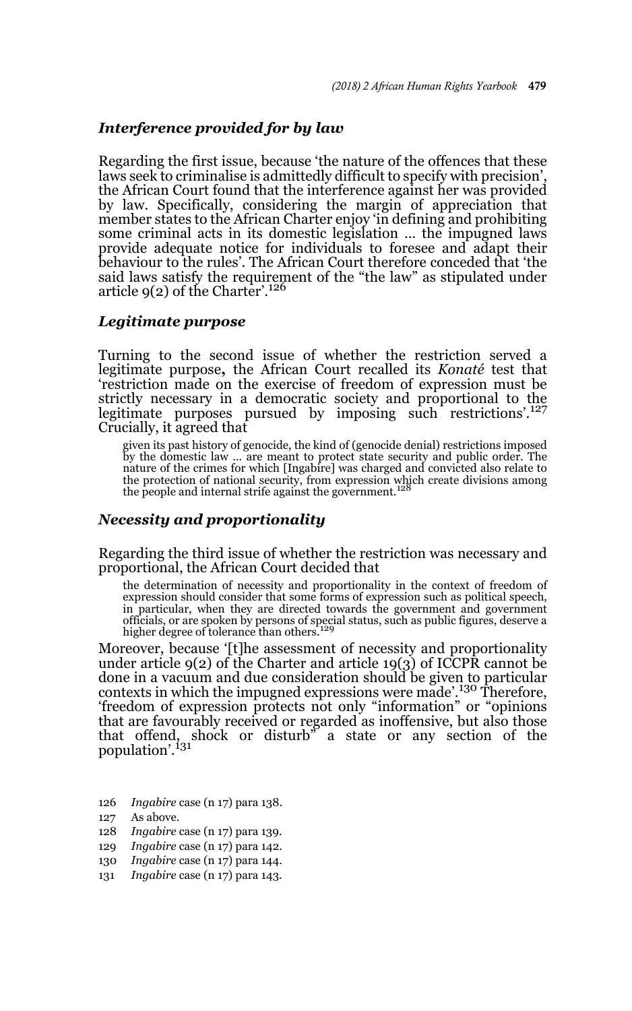### *Interference provided for by law*

Regarding the first issue, because 'the nature of the offences that these laws seek to criminalise is admittedly difficult to specify with precision', the African Court found that the interference against her was provided by law. Specifically, considering the margin of appreciation that member states to the African Charter enjoy 'in defining and prohibiting some criminal acts in its domestic legislation … the impugned laws provide adequate notice for individuals to foresee and adapt their behaviour to the rules'. The African Court therefore conceded that 'the said laws satisfy the requirement of the "the law" as stipulated under<br>article 9(2) of the Charter'.<sup>126</sup>

#### *Legitimate purpose*

Turning to the second issue of whether the restriction served a legitimate purpose**,** the African Court recalled its *Konaté* test that 'restriction made on the exercise of freedom of expression must be strictly necessary in a democratic society and proportional to the legitimate purposes pursued by imposing such restrictions'.<sup>127</sup> Crucially, it agreed that

given its past history of genocide, the kind of (genocide denial) restrictions imposed by the domestic law … are meant to protect state security and public order. The nature of the crimes for which [Ingabire] was charged and convicted also relate to<br>the protection of national security, from expression which create divisions among<br>the people and internal strife against the government.<sup>12</sup>

#### *Necessity and proportionality*

Regarding the third issue of whether the restriction was necessary and proportional, the African Court decided that

the determination of necessity and proportionality in the context of freedom of expression should consider that some forms of expression such as political speech, in particular, when they are directed towards the government and government officials, or are spoken by persons of special status, such as public figures, deserve a higher degree of tolerance than others.<sup>129</sup>

Moreover, because '[t]he assessment of necessity and proportionality under article 9(2) of the Charter and article 19(3) of ICCPR cannot be done in a vacuum and due consideration should be given to particular contexts in which the impugned expressions were made'.<sup>130</sup> Therefore, 'freedom of expression protects not only "information" or "opinions that are favourably received or regarded as inoffensive, but also those that offend, shock or disturb<sup>3</sup> a state or any section of the population'.<sup>131</sup>

- 126 *Ingabire* case (n 17) para 138.
- 127 As above.
- 128 *Ingabire* case (n 17) para 139.
- 129 *Ingabire* case (n 17) para 142.
- 130 *Ingabire* case (n 17) para 144.
- 131 *Ingabire* case (n 17) para 143.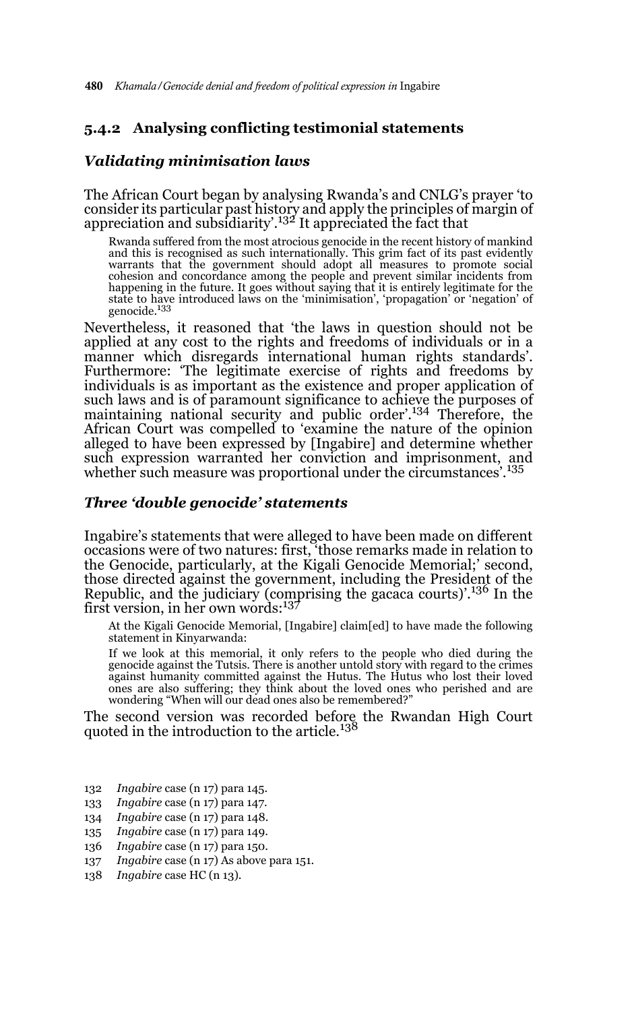### **5.4.2 Analysing conflicting testimonial statements**

#### *Validating minimisation laws*

The African Court began by analysing Rwanda's and CNLG's prayer 'to consider its particular past history and apply the principles of margin of appreciation and subsidiarity'.132 It appreciated the fact that

Rwanda suffered from the most atrocious genocide in the recent history of mankind and this is recognised as such internationally. This grim fact of its past evidently warrants that the government should adopt all measures to promote social cohesion and concordance among the people and prevent similar incidents from happening in the future. It goes without saying that it is entirely legitimate for the state to have introduced laws on the 'minimisation', 'propagation' or 'negation' of genocide.<sup>133</sup>

Nevertheless, it reasoned that 'the laws in question should not be applied at any cost to the rights and freedoms of individuals or in a manner which disregards international human rights standards'. Furthermore: 'The legitimate exercise of rights and freedoms by individuals is as important as the existence and proper application of such laws and is of paramount significance to achieve the purposes of maintaining national security and public order'.<sup>134</sup> Therefore, the African Court was compelled to 'examine the nature of the opinion alleged to have been expressed by [Ingabire] and determine whether such expression warranted her conviction and imprisonment, and<br>whether such measure was proportional under the circumstances'.<sup>135</sup>

#### *Three 'double genocide' statements*

Ingabire's statements that were alleged to have been made on different occasions were of two natures: first, 'those remarks made in relation to the Genocide, particularly, at the Kigali Genocide Memorial;' second, those directed against the government, including the President of the Republic, and the judiciary (comprising the gacaca courts)'.<sup>136</sup> In the first version, in her own words:137

At the Kigali Genocide Memorial, [Ingabire] claim[ed] to have made the following statement in Kinyarwanda:

If we look at this memorial, it only refers to the people who died during the genocide against the Tutsis. There is another untold story with regard to the crimes against humanity committed against the Hutus. The Hutus who lost their loved ones are also suffering; they think about the loved ones who perished and are wondering "When will our dead ones also be remembered?"

The second version was recorded before the Rwandan High Court<br>quoted in the introduction to the article.<sup>138</sup>

- 132 *Ingabire* case (n 17) para 145.
- 133 *Ingabire* case (n 17) para 147.
- 134 *Ingabire* case (n 17) para 148.
- 135 *Ingabire* case (n 17) para 149.
- 136 *Ingabire* case (n 17) para 150.
- 137 *Ingabire* case (n 17) As above para 151.
- 138 *Ingabire* case HC (n 13).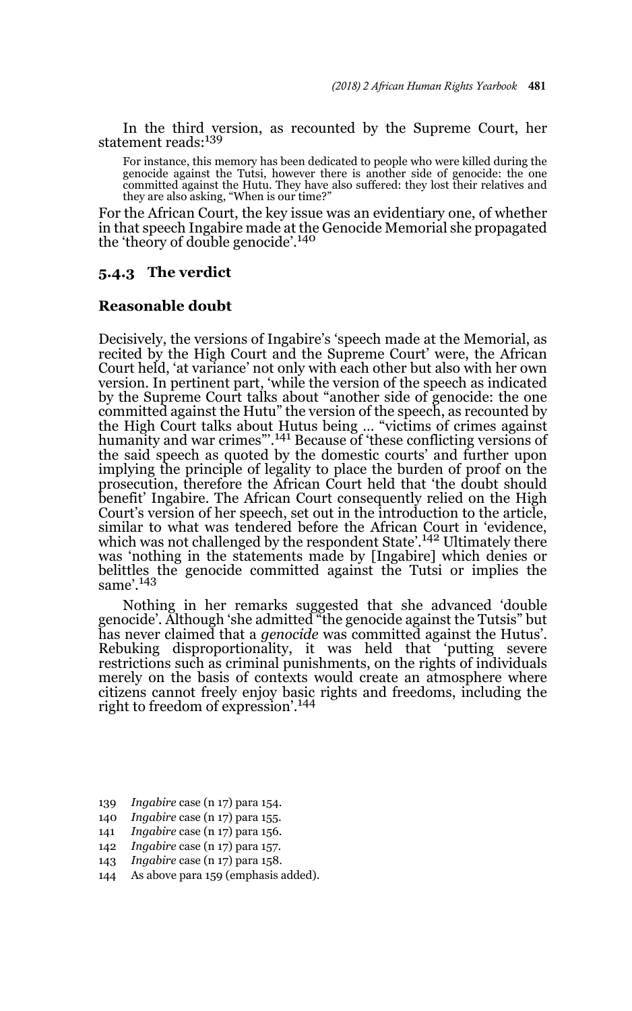In the third version, as recounted by the Supreme Court, her statement reads:<sup>139</sup>

For instance, this memory has been dedicated to people who were killed during the genocide against the Tutsi, however there is another side of genocide: the one committed against the Hutu. They have also suffered: they lost their relatives and they are also asking, "When is our time?"

For the African Court, the key issue was an evidentiary one, of whether in that speech Ingabire made at the Genocide Memorial she propagated the 'theory of double genocide'.<sup>140</sup>

#### **5.4.3 The verdict**

#### **Reasonable doubt**

Decisively, the versions of Ingabire's 'speech made at the Memorial, as recited by the High Court and the Supreme Court' were, the African Court held, 'at variance' not only with each other but also with her own version. In pertinent part, 'while the version of the speech as indicated by the Supreme Court talks about "another side of genocide: the one committed against the Hutu" the version of the speech, as recounted by the High Court talks about Hutus being … "victims of crimes against humanity and war crimes"'.141 Because of 'these conflicting versions of the said speech as quoted by the domestic courts' and further upon implying the principle of legality to place the burden of proof on the prosecution, therefore the African Court held that 'the doubt should benefit' Ingabire. The African Court consequently relied on the High Court's version of her speech, set out in the introduction to the article, similar to what was tendered before the African Court in 'evidence,<br>which was not challenged by the respondent State'.<sup>142</sup> Ultimately there was 'nothing in the statements made by [Ingabire] which denies or belittles the genocide committed against the Tutsi or implies the same'.<sup>143</sup>

Nothing in her remarks suggested that she advanced 'double genocide'. Although 'she admitted "the genocide against the Tutsis" but has never claimed that a *genocide* was committed against the Hutus'. Rebuking disproportionality, it was held that 'putting severe restrictions such as criminal punishments, on the rights of individuals merely on the basis of contexts would create an atmosphere where citizens cannot freely enjoy basic rights and freedoms, including the right to freedom of expression'.<sup>144</sup>

- 139 *Ingabire* case (n 17) para 154.
- 140 *Ingabire* case (n 17) para 155.
- 141 *Ingabire* case (n 17) para 156.
- 142 *Ingabire* case (n 17) para 157.
- 143 *Ingabire* case (n 17) para 158.
- 144 As above para 159 (emphasis added).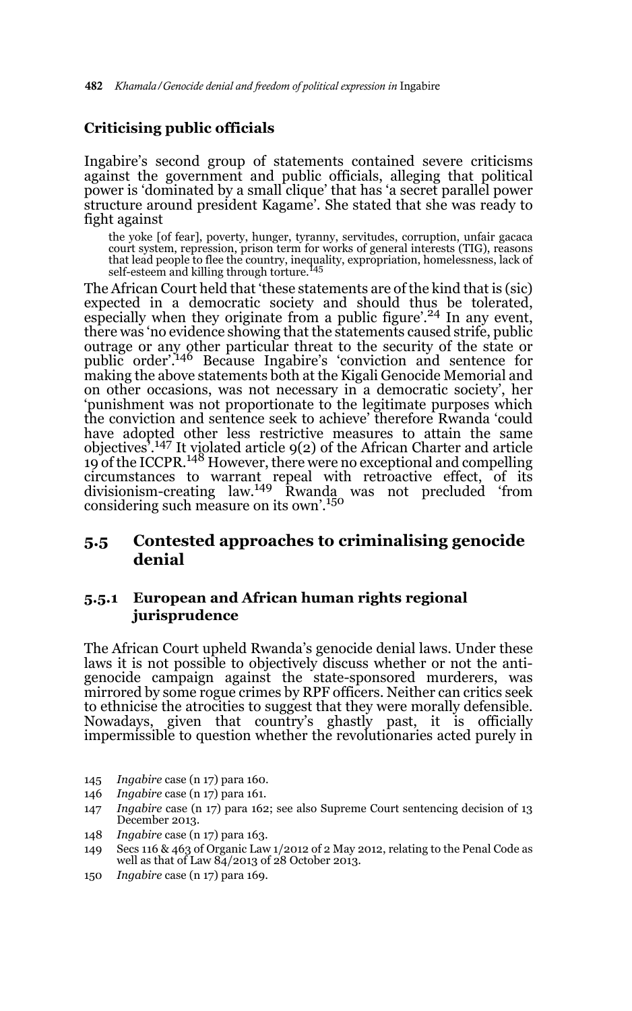## **Criticising public officials**

Ingabire's second group of statements contained severe criticisms against the government and public officials, alleging that political power is 'dominated by a small clique' that has 'a secret parallel power structure around president Kagame'. She stated that she was ready to fight against

the yoke [of fear], poverty, hunger, tyranny, servitudes, corruption, unfair gacaca court system, repression, prison term for works of general interests (TIG), reasons that lead people to flee the country, inequality, expropriation, homelessness, lack of self-esteem and killing through torture.<sup>145</sup>

The African Court held that 'these statements are of the kind that is (sic) expected in a democratic society and should thus be tolerated, especially when they originate from a public figure'.<sup>24</sup> In any event, there was 'no evidence showing that the statements caused strife, public outrage or any other particular threat to the security of the state or public order'.146 Because Ingabire's 'conviction and sentence for making the above statements both at the Kigali Genocide Memorial and on other occasions, was not necessary in a democratic society', her 'punishment was not proportionate to the legitimate purposes which the conviction and sentence seek to achieve' therefore Rwanda 'could have adopted other less restrictive measures to attain the same objectives'.<sup>147</sup> It violated article 9(2) of the African Charter and article 19 of the ICCPR.<sup>148</sup> However, there were no exceptional and compelling circumstances to warrant repeal with retroactive effect, of its divisionism-creating law.149 Rwanda was not precluded 'from considering such measure on its own'.<sup>150</sup>

### **5.5 Contested approaches to criminalising genocide denial**

### **5.5.1 European and African human rights regional jurisprudence**

The African Court upheld Rwanda's genocide denial laws. Under these laws it is not possible to objectively discuss whether or not the antigenocide campaign against the state-sponsored murderers, was mirrored by some rogue crimes by RPF officers. Neither can critics seek to ethnicise the atrocities to suggest that they were morally defensible. Nowadays, given that country's ghastly past, it is officially impermissible to question whether the revolutionaries acted purely in

- 145 *Ingabire* case (n 17) para 160.
- 146 *Ingabire* case (n 17) para 161.
- 147 *Ingabire* case (n 17) para 162; see also Supreme Court sentencing decision of 13 December 2013.
- 148 *Ingabire* case (n 17) para 163.
- 149 Secs 116 & 463 of Organic Law 1/2012 of 2 May 2012, relating to the Penal Code as well as that of Law  $\frac{84}{2013}$  of 28 October 2013.
- 150 *Ingabire* case (n 17) para 169.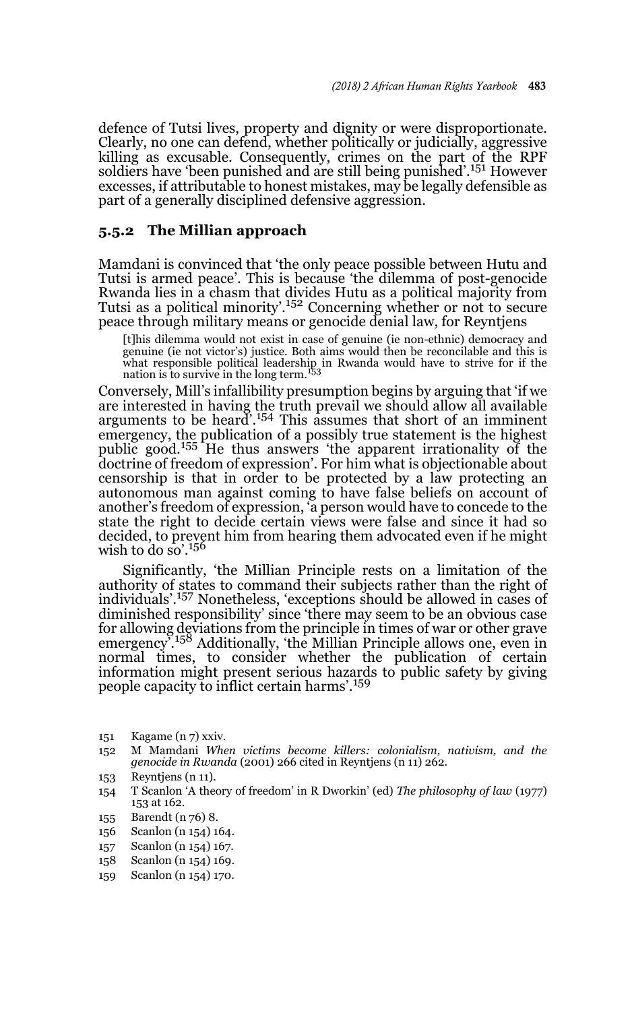defence of Tutsi lives, property and dignity or were disproportionate. Clearly, no one can defend, whether politically or judicially, aggressive killing as excusable. Consequently, crimes on the part of the RPF soldiers have 'been punished and are still being punished'.<sup>151</sup> However excesses, if attributable to honest mistakes, may be legally defensible as part of a generally disciplined defensive aggression.

#### **5.5.2 The Millian approach**

Mamdani is convinced that 'the only peace possible between Hutu and Tutsi is armed peace'. This is because 'the dilemma of post-genocide Rwanda lies in a chasm that divides Hutu as a political majority from Tutsi as a political minority'.<sup>152</sup> Concerning whether or not to secure peace through military means or genocide denial law, for Reyntjens

[t]his dilemma would not exist in case of genuine (ie non-ethnic) democracy and genuine (ie not victor's) justice. Both aims would then be reconcilable and this is what responsible political leadership in Rwanda would have to strive for if the nation is to survive in the long term.<sup>153</sup>

Conversely, Mill's infallibility presumption begins by arguing that 'if we are interested in having the truth prevail we should allow all available<br>arguments to be heard'.<sup>154</sup> This assumes that short of an imminent emergency, the publication of a possibly true statement is the highest public good.155 He thus answers 'the apparent irrationality of the doctrine of freedom of expression'. For him what is objectionable about censorship is that in order to be protected by a law protecting an autonomous man against coming to have false beliefs on account of another's freedom of expression, 'a person would have to concede to the state the right to decide certain views were false and since it had so decided, to prevent him from hearing them advocated even if he might wish to do so'.<sup>156</sup>

Significantly, 'the Millian Principle rests on a limitation of the authority of states to command their subjects rather than the right of individuals'.157 Nonetheless, 'exceptions should be allowed in cases of diminished responsibility' since 'there may seem to be an obvious case for allowing deviations from the principle in times of war or other grave<br>emergency'.<sup>158</sup> Additionally, 'the Millian Principle allows one, even in normal times, to consider whether the publication of certain information might present serious hazards to public safety by giving people capacity to inflict certain harms'.<sup>159</sup>

- 151 Kagame (n 7) xxiv.
- 152 M Mamdani *When victims become killers: colonialism, nativism, and the genocide in Rwanda* (2001) 266 cited in Reyntjens (n 11) 262.
- 153 Reyntjens (n 11).
- 154 T Scanlon 'A theory of freedom' in R Dworkin' (ed) *The philosophy of law* (1977) 153 at 162.
- 155 Barendt (n 76) 8.
- 156 Scanlon (n 154) 164.
- 157 Scanlon (n 154) 167.
- 158 Scanlon (n 154) 169.
- 159 Scanlon (n 154) 170.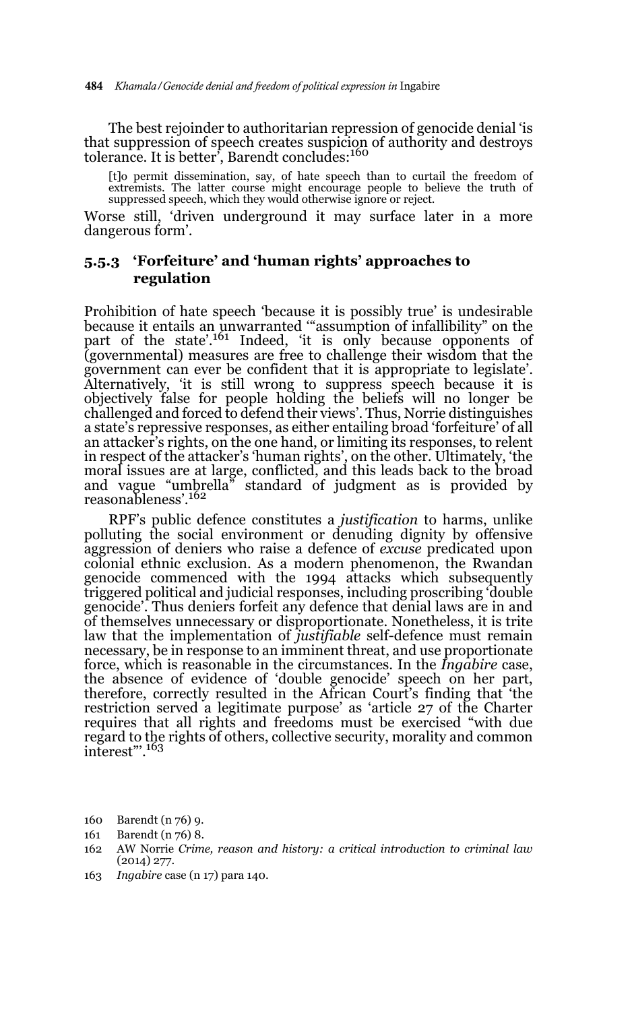The best rejoinder to authoritarian repression of genocide denial 'is that suppression of speech creates suspicion of authority and destroys tolerance. It is better<sup>5</sup>, Barendt concludes:<sup>160</sup>

[t]o permit dissemination, say, of hate speech than to curtail the freedom of extremists. The latter course might encourage people to believe the truth of suppressed speech, which they would otherwise ignore or reject.

Worse still, 'driven underground it may surface later in a more dangerous form'.

### **5.5.3 'Forfeiture' and 'human rights' approaches to regulation**

Prohibition of hate speech 'because it is possibly true' is undesirable because it entails an unwarranted '"assumption of infallibility" on the part of the state'.<sup>161</sup> Indeed, 'it is only because opponents of (governmental) measures are free to challenge their wisdom that the government can ever be confident that it is appropriate to legislate'. Alternatively, 'it is still wrong to suppress speech because it is objectively false for people holding the beliefs will no longer be challenged and forced to defend their views'. Thus, Norrie distinguishes a state's repressive responses, as either entailing broad 'forfeiture' of all an attacker's rights, on the one hand, or limiting its responses, to relent in respect of the attacker's 'human rights', on the other. Ultimately, 'the moral issues are at large, conflicted, and this leads back to the broad and vague "umbrella" standard of judgment as is provided by reasonableness'.162

RPF's public defence constitutes a *justification* to harms, unlike polluting the social environment or denuding dignity by offensive aggression of deniers who raise a defence of *excuse* predicated upon colonial ethnic exclusion. As a modern phenomenon, the Rwandan genocide commenced with the 1994 attacks which subsequently triggered political and judicial responses, including proscribing 'double genocide'. Thus deniers forfeit any defence that denial laws are in and of themselves unnecessary or disproportionate. Nonetheless, it is trite law that the implementation of *justifiable* self-defence must remain necessary, be in response to an imminent threat, and use proportionate force, which is reasonable in the circumstances. In the *Ingabire* case, the absence of evidence of 'double genocide' speech on her part, therefore, correctly resulted in the African Court's finding that 'the restriction served a legitimate purpose' as 'article 27 of the Charter requires that all rights and freedoms must be exercised "with due regard to the rights of others, collective security, morality and common<br>interest".<sup>163</sup>

- 160 Barendt (n 76) 9.
- 161 Barendt (n 76) 8.
- 162 AW Norrie *Crime, reason and history: a critical introduction to criminal law* (2014) 277.
- 163 *Ingabire* case (n 17) para 140.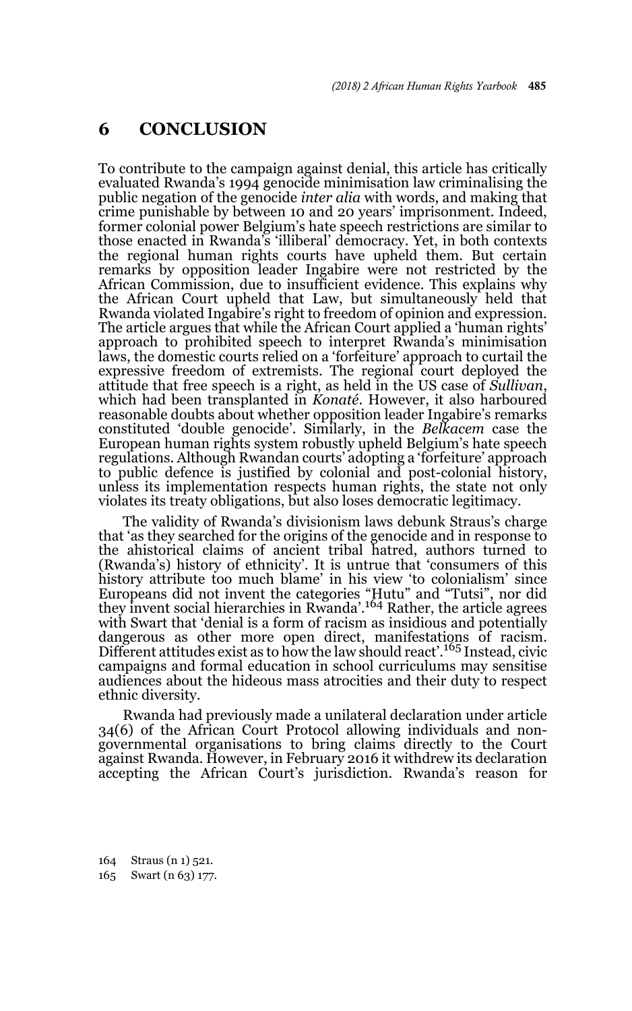## **6 CONCLUSION**

To contribute to the campaign against denial, this article has critically evaluated Rwanda's 1994 genocide minimisation law criminalising the public negation of the genocide *inter alia* with words, and making that crime punishable by between 10 and 20 years' imprisonment. Indeed, former colonial power Belgium's hate speech restrictions are similar to those enacted in Rwanda's 'illiberal' democracy. Yet, in both contexts the regional human rights courts have upheld them. But certain remarks by opposition leader Ingabire were not restricted by the African Commission, due to insufficient evidence. This explains why the African Court upheld that Law, but simultaneously held that Rwanda violated Ingabire's right to freedom of opinion and expression. The article argues that while the African Court applied a 'human rights' approach to prohibited speech to interpret Rwanda's minimisation laws, the domestic courts relied on a 'forfeiture' approach to curtail the expressive freedom of extremists. The regional court deployed the attitude that free speech is a right, as held in the US case of *Sullivan*, which had been transplanted in *Konaté*. However, it also harboured reasonable doubts about whether opposition leader Ingabire's remarks constituted 'double genocide'. Similarly, in the *Belkacem* case the European human rights system robustly upheld Belgium's hate speech regulations. Although Rwandan courts' adopting a 'forfeiture' approach to public defence is justified by colonial and post-colonial history, unless its implementation respects human rights, the state not only violates its treaty obligations, but also loses democratic legitimacy.

The validity of Rwanda's divisionism laws debunk Straus's charge that 'as they searched for the origins of the genocide and in response to the ahistorical claims of ancient tribal hatred, authors turned to (Rwanda's) history of ethnicity'. It is untrue that 'consumers of this history attribute too much blame' in his view 'to colonialism' since Europeans did not invent the categories "Hutu" and "Tutsi", nor did they invent social hierarchies in Rwanda'.164 Rather, the article agrees with Swart that 'denial is a form of racism as insidious and potentially dangerous as other more open direct, manifestations of racism. Different attitudes exist as to how the law should react'.165 Instead, civic campaigns and formal education in school curriculums may sensitise audiences about the hideous mass atrocities and their duty to respect ethnic diversity.

Rwanda had previously made a unilateral declaration under article 34(6) of the African Court Protocol allowing individuals and nongovernmental organisations to bring claims directly to the Court against Rwanda. However, in February 2016 it withdrew its declaration accepting the African Court's jurisdiction. Rwanda's reason for

164 Straus (n 1) 521. 165 Swart (n 63) 177.